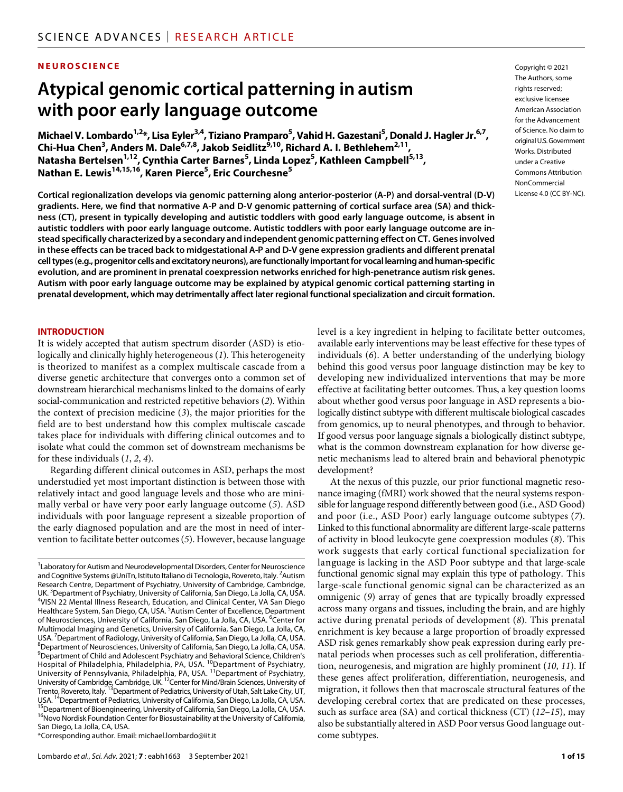# **NEUROSCIENCE**

# **Atypical genomic cortical patterning in autism with poor early language outcome**

Michael V. Lombardo<sup>1,2</sup>\*, Lisa Eyler<sup>3,4</sup>, Tiziano Pramparo<sup>5</sup>, Vahid H. Gazestani<sup>5</sup>, Donald J. Hagler Jr.<sup>6,7</sup>, **Chi-Hua Chen3 , Anders M. Dale6,7,8 , Jakob Seidlitz9,10, Richard A. I. Bethlehem2,11, Natasha Bertelsen1,12, Cynthia Carter Barnes5 , Linda Lopez5 , Kathleen Campbell5,13, Nathan E. Lewis14,15,16, Karen Pierce5 , Eric Courchesne5**

**Cortical regionalization develops via genomic patterning along anterior-posterior (A-P) and dorsal-ventral (D-V) gradients. Here, we find that normative A-P and D-V genomic patterning of cortical surface area (SA) and thickness (CT), present in typically developing and autistic toddlers with good early language outcome, is absent in autistic toddlers with poor early language outcome. Autistic toddlers with poor early language outcome are instead specifically characterized by a secondary and independent genomic patterning effect on CT. Genes involved in these effects can be traced back to midgestational A-P and D-V gene expression gradients and different prenatal cell types (e.g., progenitor cells and excitatory neurons), are functionally important for vocal learning and human-specific evolution, and are prominent in prenatal coexpression networks enriched for high-penetrance autism risk genes. Autism with poor early language outcome may be explained by atypical genomic cortical patterning starting in prenatal development, which may detrimentally affect later regional functional specialization and circuit formation.**

#### **INTRODUCTION**

It is widely accepted that autism spectrum disorder (ASD) is etiologically and clinically highly heterogeneous (*1*). This heterogeneity is theorized to manifest as a complex multiscale cascade from a diverse genetic architecture that converges onto a common set of downstream hierarchical mechanisms linked to the domains of early social-communication and restricted repetitive behaviors (*2*). Within the context of precision medicine (*3*), the major priorities for the field are to best understand how this complex multiscale cascade takes place for individuals with differing clinical outcomes and to isolate what could the common set of downstream mechanisms be for these individuals (*1*, *2*, *4*).

Regarding different clinical outcomes in ASD, perhaps the most understudied yet most important distinction is between those with relatively intact and good language levels and those who are minimally verbal or have very poor early language outcome (*5*). ASD individuals with poor language represent a sizeable proportion of the early diagnosed population and are the most in need of intervention to facilitate better outcomes (*5*). However, because language

\*Corresponding author. Email: [michael.lombardo@iit.it](mailto:michael.lombardo@iit.it)

Copyright © 2021 The Authors, some rights reserved: exclusive licensee American Association for the Advancement of Science. No claim to original U.S.Government Works. Distributed under a Creative Commons Attribution **NonCommercial** License 4.0 (CC BY-NC).

level is a key ingredient in helping to facilitate better outcomes, available early interventions may be least effective for these types of individuals (*6*). A better understanding of the underlying biology behind this good versus poor language distinction may be key to developing new individualized interventions that may be more effective at facilitating better outcomes. Thus, a key question looms about whether good versus poor language in ASD represents a biologically distinct subtype with different multiscale biological cascades from genomics, up to neural phenotypes, and through to behavior. If good versus poor language signals a biologically distinct subtype, what is the common downstream explanation for how diverse genetic mechanisms lead to altered brain and behavioral phenotypic development?

At the nexus of this puzzle, our prior functional magnetic resonance imaging (fMRI) work showed that the neural systems responsible for language respond differently between good (i.e., ASD Good) and poor (i.e., ASD Poor) early language outcome subtypes (*7*). Linked to this functional abnormality are different large-scale patterns of activity in blood leukocyte gene coexpression modules (*8*). This work suggests that early cortical functional specialization for language is lacking in the ASD Poor subtype and that large-scale functional genomic signal may explain this type of pathology. This large-scale functional genomic signal can be characterized as an omnigenic (*9*) array of genes that are typically broadly expressed across many organs and tissues, including the brain, and are highly active during prenatal periods of development (*8*). This prenatal enrichment is key because a large proportion of broadly expressed ASD risk genes remarkably show peak expression during early prenatal periods when processes such as cell proliferation, differentiation, neurogenesis, and migration are highly prominent (*10*, *11*). If these genes affect proliferation, differentiation, neurogenesis, and migration, it follows then that macroscale structural features of the developing cerebral cortex that are predicated on these processes, such as surface area (SA) and cortical thickness (CT) (*12*–*15*), may also be substantially altered in ASD Poor versus Good language outcome subtypes.

<sup>&</sup>lt;sup>1</sup> Laboratory for Autism and Neurodevelopmental Disorders, Center for Neuroscience and Cognitive Systems @UniTn, Istituto Italiano di Tecnologia, Rovereto, Italy. <sup>2</sup>Autism Research Centre, Department of Psychiatry, University of Cambridge, Cambridge, UK. <sup>3</sup>Department of Psychiatry, University of California, San Diego, La Jolla, CA, USA.<br><sup>4</sup>VISN 22 Mental Illness Research, Education, and Clinical Center, VA San Diego. <sup>4</sup>VISN 22 Mental Illness Research, Education, and Clinical Center, VA San Diego Healthcare System, San Diego, CA, USA. <sup>5</sup>Autism Center of Excellence, Department of Neurosciences, University of California, San Diego, La Jolla, CA, USA. <sup>6</sup>Center for Multimodal Imaging and Genetics, University of California, San Diego, La Jolla, CA, USA.<sup>7</sup> Department of Radiology, University of California, San Diego, La Jolla, CA, USA.<br><sup>8</sup> Department of Neurosciances, University of California, San Diego, La Jolla, CA, USA. <sup>8</sup>Department of Neurosciences, University of California, San Diego, La Jolla, CA, USA. <sup>9</sup>Department of Child and Adolescent Psychiatry and Behavioral Science, Children's<br>Hospital of Philadelphia, Philadelphia, PA, USA. <sup>10</sup>Department of Psychiatry, University of Pennsylvania, Philadelphia, PA, USA. <sup>11</sup>Department of Psychiatry, University of Cambridge, Cambridge, UK. <sup>12</sup>Center for Mind/Brain Sciences, University of Trento, Rovereto, Italy. <sup>13</sup>Department of Pediatrics, University of Utah, Salt Lake City, UT, USA. <sup>14</sup>Department of Pediatrics, University of California, San Diego, La Jolla, CA, USA.<br><sup>15</sup>Department of Bioengineering, University of California, San Diego, La Jolla, CA, USA.<br><sup>16</sup>Novo Nordisk Foundation Center for Bi San Diego, La Jolla, CA, USA.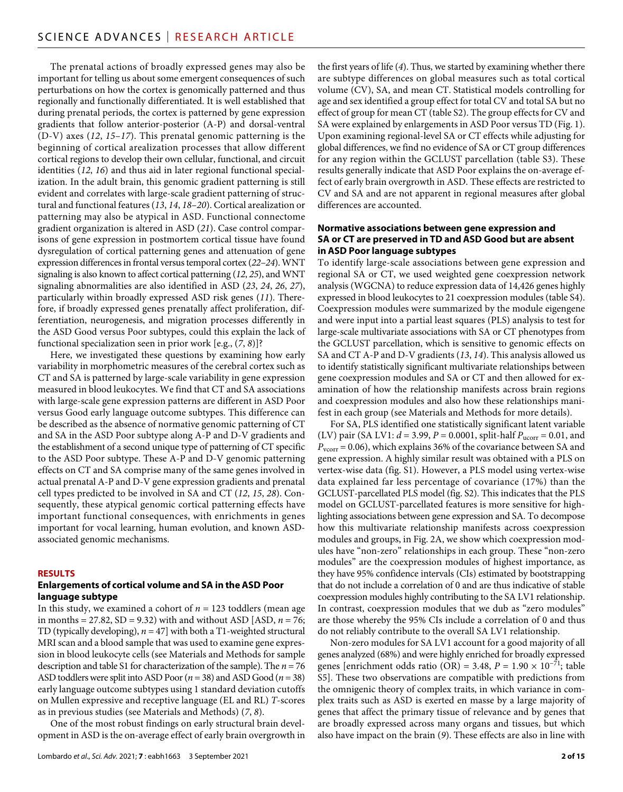The prenatal actions of broadly expressed genes may also be important for telling us about some emergent consequences of such perturbations on how the cortex is genomically patterned and thus regionally and functionally differentiated. It is well established that during prenatal periods, the cortex is patterned by gene expression gradients that follow anterior-posterior (A-P) and dorsal-ventral (D-V) axes (*12*, *15*–*17*). This prenatal genomic patterning is the beginning of cortical arealization processes that allow different cortical regions to develop their own cellular, functional, and circuit identities (*12*, *16*) and thus aid in later regional functional specialization. In the adult brain, this genomic gradient patterning is still evident and correlates with large-scale gradient patterning of structural and functional features (*13*, *14*, *18*–*20*). Cortical arealization or patterning may also be atypical in ASD. Functional connectome gradient organization is altered in ASD (*21*). Case control comparisons of gene expression in postmortem cortical tissue have found dysregulation of cortical patterning genes and attenuation of gene expression differences in frontal versus temporal cortex (*22*–*24*). WNT signaling is also known to affect cortical patterning (*12*, *25*), and WNT signaling abnormalities are also identified in ASD (*23*, *24*, *26*, *27*), particularly within broadly expressed ASD risk genes (*11*). Therefore, if broadly expressed genes prenatally affect proliferation, differentiation, neurogenesis, and migration processes differently in the ASD Good versus Poor subtypes, could this explain the lack of functional specialization seen in prior work [e.g., (*7*, *8*)]?

Here, we investigated these questions by examining how early variability in morphometric measures of the cerebral cortex such as CT and SA is patterned by large-scale variability in gene expression measured in blood leukocytes. We find that CT and SA associations with large-scale gene expression patterns are different in ASD Poor versus Good early language outcome subtypes. This difference can be described as the absence of normative genomic patterning of CT and SA in the ASD Poor subtype along A-P and D-V gradients and the establishment of a second unique type of patterning of CT specific to the ASD Poor subtype. These A-P and D-V genomic patterning effects on CT and SA comprise many of the same genes involved in actual prenatal A-P and D-V gene expression gradients and prenatal cell types predicted to be involved in SA and CT (*12*, *15*, *28*). Consequently, these atypical genomic cortical patterning effects have important functional consequences, with enrichments in genes important for vocal learning, human evolution, and known ASDassociated genomic mechanisms.

### **RESULTS**

### **Enlargements of cortical volume and SA in the ASD Poor language subtype**

In this study, we examined a cohort of  $n = 123$  toddlers (mean age in months = 27.82, SD = 9.32) with and without ASD [ASD, *n* = 76; TD (typically developing), *n* = 47] with both a T1-weighted structural MRI scan and a blood sample that was used to examine gene expression in blood leukocyte cells (see Materials and Methods for sample description and table S1 for characterization of the sample). The *n* = 76 ASD toddlers were split into ASD Poor (*n* = 38) and ASD Good (*n* = 38) early language outcome subtypes using 1 standard deviation cutoffs on Mullen expressive and receptive language (EL and RL) *T*-scores as in previous studies (see Materials and Methods) (*7*, *8*).

One of the most robust findings on early structural brain development in ASD is the on-average effect of early brain overgrowth in the first years of life (*4*). Thus, we started by examining whether there are subtype differences on global measures such as total cortical volume (CV), SA, and mean CT. Statistical models controlling for age and sex identified a group effect for total CV and total SA but no effect of group for mean CT (table S2). The group effects for CV and SA were explained by enlargements in ASD Poor versus TD (Fig. 1). Upon examining regional-level SA or CT effects while adjusting for global differences, we find no evidence of SA or CT group differences for any region within the GCLUST parcellation (table S3). These results generally indicate that ASD Poor explains the on-average effect of early brain overgrowth in ASD. These effects are restricted to CV and SA and are not apparent in regional measures after global differences are accounted.

# **Normative associations between gene expression and SA or CT are preserved in TD and ASD Good but are absent in ASD Poor language subtypes**

To identify large-scale associations between gene expression and regional SA or CT, we used weighted gene coexpression network analysis (WGCNA) to reduce expression data of 14,426 genes highly expressed in blood leukocytes to 21 coexpression modules (table S4). Coexpression modules were summarized by the module eigengene and were input into a partial least squares (PLS) analysis to test for large-scale multivariate associations with SA or CT phenotypes from the GCLUST parcellation, which is sensitive to genomic effects on SA and CT A-P and D-V gradients (*13*, *14*). This analysis allowed us to identify statistically significant multivariate relationships between gene coexpression modules and SA or CT and then allowed for examination of how the relationship manifests across brain regions and coexpression modules and also how these relationships manifest in each group (see Materials and Methods for more details).

For SA, PLS identified one statistically significant latent variable (LV) pair (SA LV1: *d* = 3.99, *P* = 0.0001, split-half *P*ucorr = 0.01, and  $P_{\text{vcorr}} = 0.06$ ), which explains 36% of the covariance between SA and gene expression. A highly similar result was obtained with a PLS on vertex-wise data (fig. S1). However, a PLS model using vertex-wise data explained far less percentage of covariance (17%) than the GCLUST-parcellated PLS model (fig. S2). This indicates that the PLS model on GCLUST-parcellated features is more sensitive for highlighting associations between gene expression and SA. To decompose how this multivariate relationship manifests across coexpression modules and groups, in Fig. 2A, we show which coexpression modules have "non-zero" relationships in each group. These "non-zero modules" are the coexpression modules of highest importance, as they have 95% confidence intervals (CIs) estimated by bootstrapping that do not include a correlation of 0 and are thus indicative of stable coexpression modules highly contributing to the SA LV1 relationship. In contrast, coexpression modules that we dub as "zero modules" are those whereby the 95% CIs include a correlation of 0 and thus do not reliably contribute to the overall SA LV1 relationship.

Non-zero modules for SA LV1 account for a good majority of all genes analyzed (68%) and were highly enriched for broadly expressed genes [enrichment odds ratio (OR) = 3.48,  $P = 1.90 \times 10^{-71}$ ; table S5]. These two observations are compatible with predictions from the omnigenic theory of complex traits, in which variance in complex traits such as ASD is exerted en masse by a large majority of genes that affect the primary tissue of relevance and by genes that are broadly expressed across many organs and tissues, but which also have impact on the brain (*9*). These effects are also in line with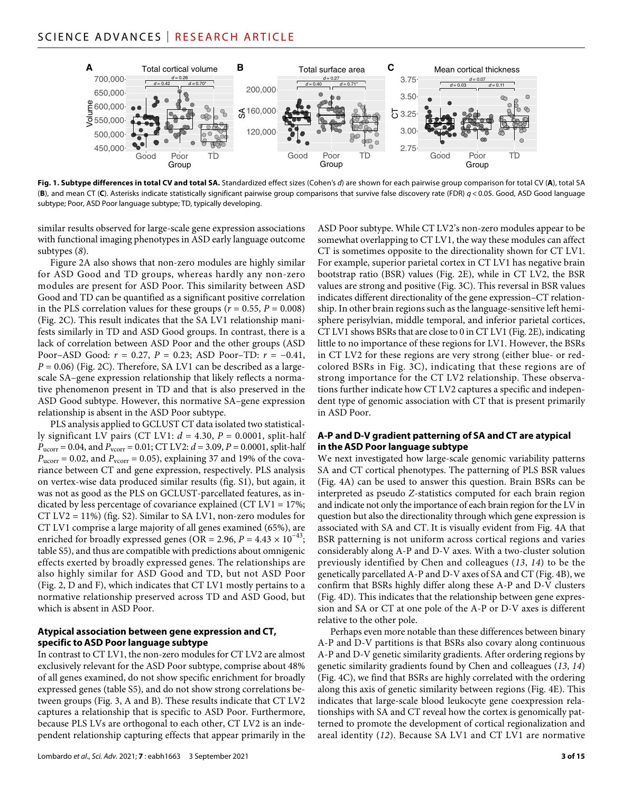

**Fig. 1. Subtype differences in total CV and total SA.** Standardized effect sizes (Cohen's *d*) are shown for each pairwise group comparison for total CV (**A**), total SA (**B**), and mean CT (**C**). Asterisks indicate statistically significant pairwise group comparisons that survive false discovery rate (FDR) *q* < 0.05. Good, ASD Good language subtype; Poor, ASD Poor language subtype; TD, typically developing.

similar results observed for large-scale gene expression associations with functional imaging phenotypes in ASD early language outcome subtypes (*8*).

Figure 2A also shows that non-zero modules are highly similar for ASD Good and TD groups, whereas hardly any non-zero modules are present for ASD Poor. This similarity between ASD Good and TD can be quantified as a significant positive correlation in the PLS correlation values for these groups ( $r = 0.55$ ,  $P = 0.008$ ) (Fig. 2C). This result indicates that the SA LV1 relationship manifests similarly in TD and ASD Good groups. In contrast, there is a lack of correlation between ASD Poor and the other groups (ASD Poor–ASD Good:  $r = 0.27$ ,  $P = 0.23$ ; ASD Poor–TD:  $r = -0.41$ , *P* = 0.06) (Fig. 2C). Therefore, SA LV1 can be described as a largescale SA–gene expression relationship that likely reflects a normative phenomenon present in TD and that is also preserved in the ASD Good subtype. However, this normative SA–gene expression relationship is absent in the ASD Poor subtype.

PLS analysis applied to GCLUST CT data isolated two statistically significant LV pairs (CT LV1: *d* = 4.30, *P* = 0.0001, split-half  $P_{\text{ucorr}} = 0.04$ , and  $P_{\text{vcorr}} = 0.01$ ; CT LV2:  $d = 3.09$ ,  $P = 0.0001$ , split-half  $P_{\text{ucorr}} = 0.02$ , and  $P_{\text{vcorr}} = 0.05$ ), explaining 37 and 19% of the covariance between CT and gene expression, respectively. PLS analysis on vertex-wise data produced similar results (fig. S1), but again, it was not as good as the PLS on GCLUST-parcellated features, as indicated by less percentage of covariance explained (CT LV1 = 17%; CT LV2 = 11%) (fig. S2). Similar to SA LV1, non-zero modules for CT LV1 comprise a large majority of all genes examined (65%), are enriched for broadly expressed genes (OR = 2.96,  $P = 4.43 \times 10^{-43}$ ; table S5), and thus are compatible with predictions about omnigenic effects exerted by broadly expressed genes. The relationships are also highly similar for ASD Good and TD, but not ASD Poor (Fig. 2, D and F), which indicates that CT LV1 mostly pertains to a normative relationship preserved across TD and ASD Good, but which is absent in ASD Poor.

# **Atypical association between gene expression and CT, specific to ASD Poor language subtype**

In contrast to CT LV1, the non-zero modules for CT LV2 are almost exclusively relevant for the ASD Poor subtype, comprise about 48% of all genes examined, do not show specific enrichment for broadly expressed genes (table S5), and do not show strong correlations between groups (Fig. 3, A and B). These results indicate that CT LV2 captures a relationship that is specific to ASD Poor. Furthermore, because PLS LVs are orthogonal to each other, CT LV2 is an independent relationship capturing effects that appear primarily in the

ASD Poor subtype. While CT LV2's non-zero modules appear to be somewhat overlapping to CT LV1, the way these modules can affect CT is sometimes opposite to the directionality shown for CT LV1. For example, superior parietal cortex in CT LV1 has negative brain bootstrap ratio (BSR) values (Fig. 2E), while in CT LV2, the BSR values are strong and positive (Fig. 3C). This reversal in BSR values indicates different directionality of the gene expression–CT relationship. In other brain regions such as the language-sensitive left hemisphere perisylvian, middle temporal, and inferior parietal cortices, CT LV1 shows BSRs that are close to 0 in CT LV1 (Fig. 2E), indicating little to no importance of these regions for LV1. However, the BSRs in CT LV2 for these regions are very strong (either blue- or redcolored BSRs in Fig. 3C), indicating that these regions are of strong importance for the CT LV2 relationship. These observations further indicate how CT LV2 captures a specific and independent type of genomic association with CT that is present primarily in ASD Poor.

# **A-P andD-V gradient patterning of SA and CT are atypical in the ASD Poor language subtype**

We next investigated how large-scale genomic variability patterns SA and CT cortical phenotypes. The patterning of PLS BSR values (Fig. 4A) can be used to answer this question. Brain BSRs can be interpreted as pseudo *Z*-statistics computed for each brain region and indicate not only the importance of each brain region for the LV in question but also the directionality through which gene expression is associated with SA and CT. It is visually evident from Fig. 4A that BSR patterning is not uniform across cortical regions and varies considerably along A-P and D-V axes. With a two-cluster solution previously identified by Chen and colleagues (*13*, *14*) to be the genetically parcellated A-P and D-V axes of SA and CT (Fig. 4B), we confirm that BSRs highly differ along these A-P and D-V clusters (Fig. 4D). This indicates that the relationship between gene expression and SA or CT at one pole of the A-P or D-V axes is different relative to the other pole.

Perhaps even more notable than these differences between binary A-P and D-V partitions is that BSRs also covary along continuous A-P and D-V genetic similarity gradients. After ordering regions by genetic similarity gradients found by Chen and colleagues (*13*, *14*) (Fig. 4C), we find that BSRs are highly correlated with the ordering along this axis of genetic similarity between regions (Fig. 4E). This indicates that large-scale blood leukocyte gene coexpression relationships with SA and CT reveal how the cortex is genomically patterned to promote the development of cortical regionalization and areal identity (*12*). Because SA LV1 and CT LV1 are normative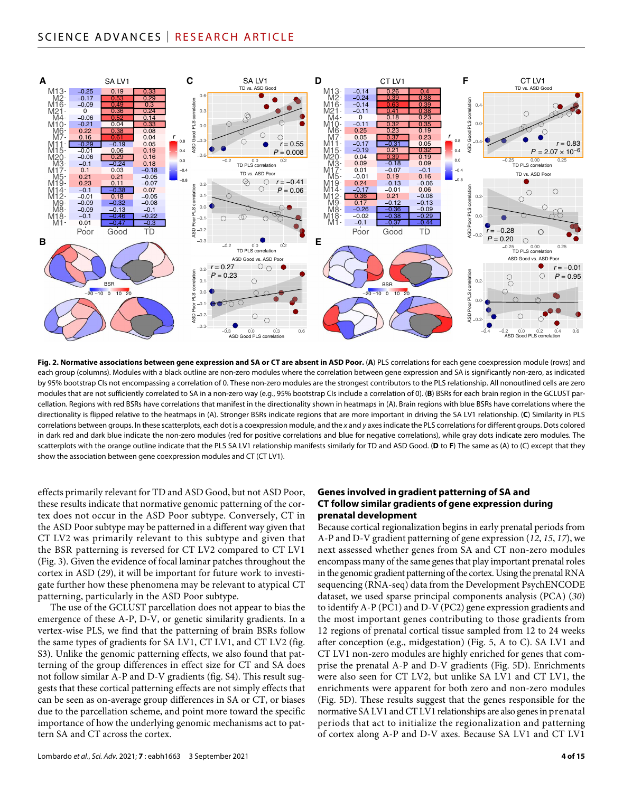# SCIENCE ADVANCES | RESEARCH ARTICLE



**Fig. 2. Normative associations between gene expression and SA or CT are absent in ASD Poor.** (**A**) PLS correlations for each gene coexpression module (rows) and each group (columns). Modules with a black outline are non-zero modules where the correlation between gene expression and SA is significantly non-zero, as indicated by 95% bootstrap CIs not encompassing a correlation of 0. These non-zero modules are the strongest contributors to the PLS relationship. All nonoutlined cells are zero modules that are not sufficiently correlated to SA in a non-zero way (e.g., 95% bootstrap CIs include a correlation of 0). (**B**) BSRs for each brain region in the GCLUST parcellation. Regions with red BSRs have correlations that manifest in the directionality shown in heatmaps in (A). Brain regions with blue BSRs have correlations where the directionality is flipped relative to the heatmaps in (A). Stronger BSRs indicate regions that are more important in driving the SA LV1 relationship. (**C**) Similarity in PLS correlations between groups. In these scatterplots, each dot is a coexpression module, and the *x* and *y* axes indicate the PLS correlations for different groups. Dots colored in dark red and dark blue indicate the non-zero modules (red for positive correlations and blue for negative correlations), while gray dots indicate zero modules. The scatterplots with the orange outline indicate that the PLS SA LV1 relationship manifests similarly for TD and ASD Good. (**D** to **F**) The same as (A) to (C) except that they show the association between gene coexpression modules and CT (CT LV1).

effects primarily relevant for TD and ASD Good, but not ASD Poor, these results indicate that normative genomic patterning of the cortex does not occur in the ASD Poor subtype. Conversely, CT in the ASD Poor subtype may be patterned in a different way given that CT LV2 was primarily relevant to this subtype and given that the BSR patterning is reversed for CT LV2 compared to CT LV1 (Fig. 3). Given the evidence of focal laminar patches throughout the cortex in ASD (*29*), it will be important for future work to investigate further how these phenomena may be relevant to atypical CT patterning, particularly in the ASD Poor subtype.

The use of the GCLUST parcellation does not appear to bias the emergence of these A-P, D-V, or genetic similarity gradients. In a vertex-wise PLS, we find that the patterning of brain BSRs follow the same types of gradients for SA LV1, CT LV1, and CT LV2 (fig. S3). Unlike the genomic patterning effects, we also found that patterning of the group differences in effect size for CT and SA does not follow similar A-P and D-V gradients (fig. S4). This result suggests that these cortical patterning effects are not simply effects that can be seen as on-average group differences in SA or CT, or biases due to the parcellation scheme, and point more toward the specific importance of how the underlying genomic mechanisms act to pattern SA and CT across the cortex.

# **Genes involved in gradient patterning of SA and CT follow similar gradients of gene expression during prenatal development**

Because cortical regionalization begins in early prenatal periods from A-P and D-V gradient patterning of gene expression (*12*, *15*, *17*), we next assessed whether genes from SA and CT non-zero modules encompass many of the same genes that play important prenatal roles in the genomic gradient patterning of the cortex. Using the prenatal RNA sequencing (RNA-seq) data from the Development PsychENCODE dataset, we used sparse principal components analysis (PCA) (*30*) to identify A-P (PC1) and D-V (PC2) gene expression gradients and the most important genes contributing to those gradients from 12 regions of prenatal cortical tissue sampled from 12 to 24 weeks after conception (e.g., midgestation) (Fig. 5, A to C). SA LV1 and CT LV1 non-zero modules are highly enriched for genes that comprise the prenatal A-P and D-V gradients (Fig. 5D). Enrichments were also seen for CT LV2, but unlike SA LV1 and CT LV1, the enrichments were apparent for both zero and non-zero modules (Fig. 5D). These results suggest that the genes responsible for the normative SA LV1 and CT LV1 relationships are also genes in prenatal periods that act to initialize the regionalization and patterning of cortex along A-P and D-V axes. Because SA LV1 and CT LV1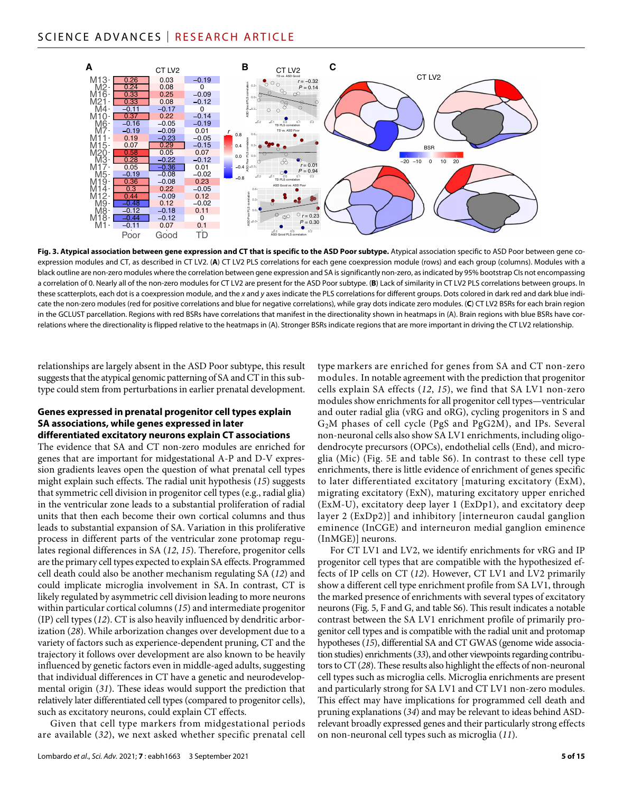

**Fig. 3. Atypical association between gene expression and CT that is specific to the ASD Poor subtype.** Atypical association specific to ASD Poor between gene coexpression modules and CT, as described in CT LV2. (**A**) CT LV2 PLS correlations for each gene coexpression module (rows) and each group (columns). Modules with a black outline are non-zero modules where the correlation between gene expression and SA is significantly non-zero, as indicated by 95% bootstrap CIs not encompassing a correlation of 0. Nearly all of the non-zero modules for CT LV2 are present for the ASD Poor subtype. (**B**) Lack of similarity in CT LV2 PLS correlations between groups. In these scatterplots, each dot is a coexpression module, and the *x* and *y* axes indicate the PLS correlations for different groups. Dots colored in dark red and dark blue indicate the non-zero modules (red for positive correlations and blue for negative correlations), while gray dots indicate zero modules. (**C**) CT LV2 BSRs for each brain region in the GCLUST parcellation. Regions with red BSRs have correlations that manifest in the directionality shown in heatmaps in (A). Brain regions with blue BSRs have correlations where the directionality is flipped relative to the heatmaps in (A). Stronger BSRs indicate regions that are more important in driving the CT LV2 relationship.

relationships are largely absent in the ASD Poor subtype, this result suggests that the atypical genomic patterning of SA and CT in this subtype could stem from perturbations in earlier prenatal development.

### **Genes expressed in prenatal progenitor cell types explain SA associations, while genes expressed in later differentiated excitatory neurons explain CT associations**

The evidence that SA and CT non-zero modules are enriched for genes that are important for midgestational A-P and D-V expression gradients leaves open the question of what prenatal cell types might explain such effects. The radial unit hypothesis (*15*) suggests that symmetric cell division in progenitor cell types (e.g., radial glia) in the ventricular zone leads to a substantial proliferation of radial units that then each become their own cortical columns and thus leads to substantial expansion of SA. Variation in this proliferative process in different parts of the ventricular zone protomap regulates regional differences in SA (*12*, *15*). Therefore, progenitor cells are the primary cell types expected to explain SA effects. Programmed cell death could also be another mechanism regulating SA (*12*) and could implicate microglia involvement in SA. In contrast, CT is likely regulated by asymmetric cell division leading to more neurons within particular cortical columns (*15*) and intermediate progenitor (IP) cell types (*12*). CT is also heavily influenced by dendritic arborization (*28*). While arborization changes over development due to a variety of factors such as experience-dependent pruning, CT and the trajectory it follows over development are also known to be heavily influenced by genetic factors even in middle-aged adults, suggesting that individual differences in CT have a genetic and neurodevelopmental origin (*31*). These ideas would support the prediction that relatively later differentiated cell types (compared to progenitor cells), such as excitatory neurons, could explain CT effects.

Given that cell type markers from midgestational periods are available (*32*), we next asked whether specific prenatal cell

type markers are enriched for genes from SA and CT non-zero modules. In notable agreement with the prediction that progenitor cells explain SA effects (*12*, *15*), we find that SA LV1 non-zero modules show enrichments for all progenitor cell types—ventricular and outer radial glia (vRG and oRG), cycling progenitors in S and G2M phases of cell cycle (PgS and PgG2M), and IPs. Several non-neuronal cells also show SA LV1 enrichments, including oligodendrocyte precursors (OPCs), endothelial cells (End), and microglia (Mic) (Fig. 5E and table S6). In contrast to these cell type enrichments, there is little evidence of enrichment of genes specific to later differentiated excitatory [maturing excitatory (ExM), migrating excitatory (ExN), maturing excitatory upper enriched (ExM-U), excitatory deep layer 1 (ExDp1), and excitatory deep layer 2 (ExDp2)] and inhibitory [interneuron caudal ganglion eminence (InCGE) and interneuron medial ganglion eminence (InMGE)] neurons.

For CT LV1 and LV2, we identify enrichments for vRG and IP progenitor cell types that are compatible with the hypothesized effects of IP cells on CT (*12*). However, CT LV1 and LV2 primarily show a different cell type enrichment profile from SA LV1, through the marked presence of enrichments with several types of excitatory neurons (Fig. 5, F and G, and table S6). This result indicates a notable contrast between the SA LV1 enrichment profile of primarily progenitor cell types and is compatible with the radial unit and protomap hypotheses (*15*), differential SA and CT GWAS (genome wide association studies) enrichments (*33*), and other viewpoints regarding contributors to CT (*28*). These results also highlight the effects of non-neuronal cell types such as microglia cells. Microglia enrichments are present and particularly strong for SA LV1 and CT LV1 non-zero modules. This effect may have implications for programmed cell death and pruning explanations (*34*) and may be relevant to ideas behind ASDrelevant broadly expressed genes and their particularly strong effects on non-neuronal cell types such as microglia (*11*).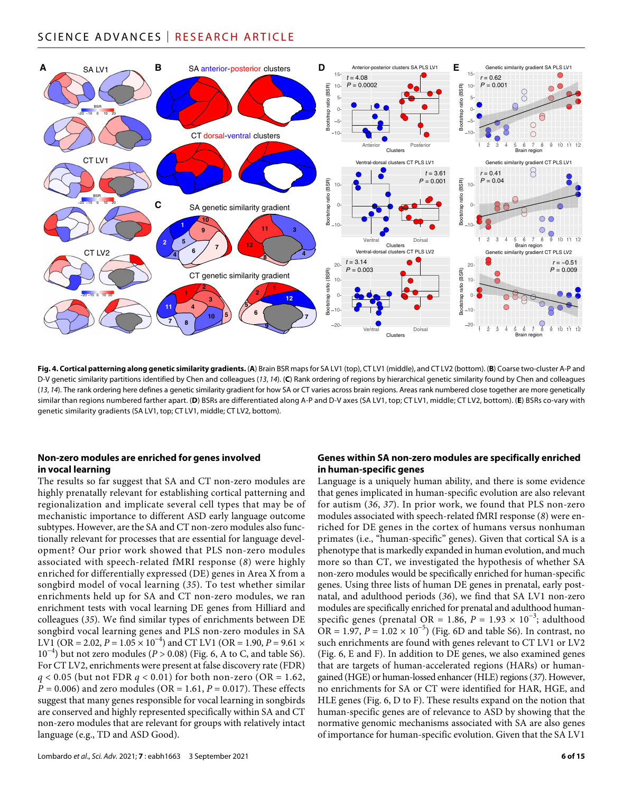# SCIENCE ADVANCES | RESEARCH ARTICLE



**Fig. 4. Cortical patterning along genetic similarity gradients.** (**A**) Brain BSR maps for SA LV1 (top), CT LV1 (middle), and CT LV2 (bottom). (**B**) Coarse two-cluster A-P and D-V genetic similarity partitions identified by Chen and colleagues (*13*, *14*). (**C**) Rank ordering of regions by hierarchical genetic similarity found by Chen and colleagues (*13*, *14*). The rank ordering here defines a genetic similarity gradient for how SA or CT varies across brain regions. Areas rank numbered close together are more genetically similar than regions numbered farther apart. (**D**) BSRs are differentiated along A-P and D-V axes (SA LV1, top; CT LV1, middle; CT LV2, bottom). (**E**) BSRs co-vary with genetic similarity gradients (SA LV1, top; CT LV1, middle; CT LV2, bottom).

# **Non-zero modules are enriched for genes involved in vocal learning**

The results so far suggest that SA and CT non-zero modules are highly prenatally relevant for establishing cortical patterning and regionalization and implicate several cell types that may be of mechanistic importance to different ASD early language outcome subtypes. However, are the SA and CT non-zero modules also functionally relevant for processes that are essential for language development? Our prior work showed that PLS non-zero modules associated with speech-related fMRI response (*8*) were highly enriched for differentially expressed (DE) genes in Area X from a songbird model of vocal learning (*35*). To test whether similar enrichments held up for SA and CT non-zero modules, we ran enrichment tests with vocal learning DE genes from Hilliard and colleagues (*35*). We find similar types of enrichments between DE songbird vocal learning genes and PLS non-zero modules in SA LV1 (OR = 2.02,  $P = 1.05 \times 10^{-4}$ ) and CT LV1 (OR = 1.90,  $P = 9.61 \times$ 10−4) but not zero modules (*P* > 0.08) (Fig. 6, A to C, and table S6). For CT LV2, enrichments were present at false discovery rate (FDR) *q* < 0.05 (but not FDR *q* < 0.01) for both non-zero (OR = 1.62, *P* = 0.006) and zero modules (OR = 1.61, *P* = 0.017). These effects suggest that many genes responsible for vocal learning in songbirds are conserved and highly represented specifically within SA and CT non-zero modules that are relevant for groups with relatively intact language (e.g., TD and ASD Good).

#### Lombardo *et al*., *Sci. Adv.* 2021; **7** : eabh1663 3 September 2021

# **Genes within SA non-zero modules are specifically enriched in human-specific genes**

Language is a uniquely human ability, and there is some evidence that genes implicated in human-specific evolution are also relevant for autism (*36*, *37*). In prior work, we found that PLS non-zero modules associated with speech-related fMRI response (*8*) were enriched for DE genes in the cortex of humans versus nonhuman primates (i.e., "human-specific" genes). Given that cortical SA is a phenotype that is markedly expanded in human evolution, and much more so than CT, we investigated the hypothesis of whether SA non-zero modules would be specifically enriched for human-specific genes. Using three lists of human DE genes in prenatal, early postnatal, and adulthood periods (*36*), we find that SA LV1 non-zero modules are specifically enriched for prenatal and adulthood humanspecific genes (prenatal OR = 1.86,  $P = 1.93 \times 10^{-3}$ ; adulthood OR = 1.97,  $P = 1.02 \times 10^{-5}$ ) (Fig. 6D and table S6). In contrast, no such enrichments are found with genes relevant to CT LV1 or LV2 (Fig. 6, E and F). In addition to DE genes, we also examined genes that are targets of human-accelerated regions (HARs) or humangained (HGE) or human-lossed enhancer (HLE) regions (*37*). However, no enrichments for SA or CT were identified for HAR, HGE, and HLE genes (Fig. 6, D to F). These results expand on the notion that human-specific genes are of relevance to ASD by showing that the normative genomic mechanisms associated with SA are also genes of importance for human-specific evolution. Given that the SA LV1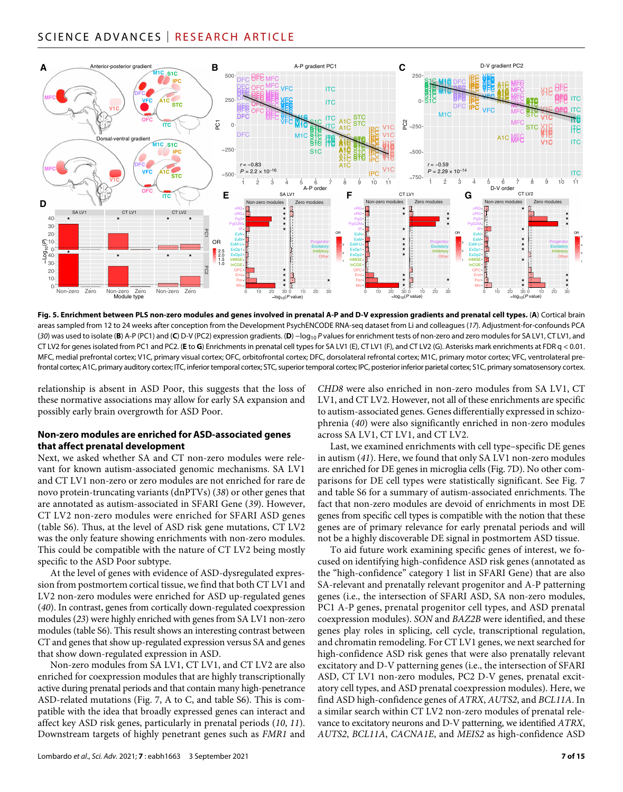

**Fig. 5. Enrichment between PLS non-zero modules and genes involved in prenatal A-P and D-V expression gradients and prenatal cell types.** (**A**) Cortical brain areas sampled from 12 to 24 weeks after conception from the Development PsychENCODE RNA-seq dataset from Li and colleagues (*17*). Adjustment-for-confounds PCA (*30*) was used to isolate (**B**) A-P (PC1) and (**C**) D-V (PC2) expression gradients. (**D**) −log10 *P* values for enrichment tests of non-zero and zero modules for SA LV1, CT LV1, and CT LV2 for genes isolated from PC1 and PC2. (**E** to **G**) Enrichments in prenatal cell types for SA LV1 (E), CT LV1 (F), and CT LV2 (G). Asterisks mark enrichments at FDR q < 0.01. MFC, medial prefrontal cortex; V1C, primary visual cortex; OFC, orbitofrontal cortex; DFC, dorsolateral refrontal cortex; M1C, primary motor cortex; VFC, ventrolateral prefrontal cortex; A1C, primary auditory cortex; ITC, inferior temporal cortex; STC, superior temporal cortex; IPC, posterior inferior parietal cortex; S1C, primary somatosensory cortex.

relationship is absent in ASD Poor, this suggests that the loss of these normative associations may allow for early SA expansion and possibly early brain overgrowth for ASD Poor.

# **Non-zero modules are enriched for ASD-associated genes that affect prenatal development**

Next, we asked whether SA and CT non-zero modules were relevant for known autism-associated genomic mechanisms. SA LV1 and CT LV1 non-zero or zero modules are not enriched for rare de novo protein-truncating variants (dnPTVs) (*38*) or other genes that are annotated as autism-associated in SFARI Gene (*39*). However, CT LV2 non-zero modules were enriched for SFARI ASD genes (table S6). Thus, at the level of ASD risk gene mutations, CT LV2 was the only feature showing enrichments with non-zero modules. This could be compatible with the nature of CT LV2 being mostly specific to the ASD Poor subtype.

At the level of genes with evidence of ASD-dysregulated expression from postmortem cortical tissue, we find that both CT LV1 and LV2 non-zero modules were enriched for ASD up-regulated genes (*40*). In contrast, genes from cortically down-regulated coexpression modules (*23*) were highly enriched with genes from SA LV1 non-zero modules (table S6). This result shows an interesting contrast between CT and genes that show up-regulated expression versus SA and genes that show down-regulated expression in ASD.

Non-zero modules from SA LV1, CT LV1, and CT LV2 are also enriched for coexpression modules that are highly transcriptionally active during prenatal periods and that contain many high-penetrance ASD-related mutations (Fig. 7, A to C, and table S6). This is compatible with the idea that broadly expressed genes can interact and affect key ASD risk genes, particularly in prenatal periods (*10*, *11*). Downstream targets of highly penetrant genes such as *FMR1* and

Lombardo *et al*., *Sci. Adv.* 2021; **7** : eabh1663 3 September 2021

*CHD8* were also enriched in non-zero modules from SA LV1, CT LV1, and CT LV2. However, not all of these enrichments are specific to autism-associated genes. Genes differentially expressed in schizophrenia (*40*) were also significantly enriched in non-zero modules across SA LV1, CT LV1, and CT LV2.

Last, we examined enrichments with cell type–specific DE genes in autism (*41*). Here, we found that only SA LV1 non-zero modules are enriched for DE genes in microglia cells (Fig. 7D). No other comparisons for DE cell types were statistically significant. See Fig. 7 and table S6 for a summary of autism-associated enrichments. The fact that non-zero modules are devoid of enrichments in most DE genes from specific cell types is compatible with the notion that these genes are of primary relevance for early prenatal periods and will not be a highly discoverable DE signal in postmortem ASD tissue.

To aid future work examining specific genes of interest, we focused on identifying high-confidence ASD risk genes (annotated as the "high-confidence" category 1 list in SFARI Gene) that are also SA-relevant and prenatally relevant progenitor and A-P patterning genes (i.e., the intersection of SFARI ASD, SA non-zero modules, PC1 A-P genes, prenatal progenitor cell types, and ASD prenatal coexpression modules). *SON* and *BAZ2B* were identified, and these genes play roles in splicing, cell cycle, transcriptional regulation, and chromatin remodeling. For CT LV1 genes, we next searched for high-confidence ASD risk genes that were also prenatally relevant excitatory and D-V patterning genes (i.e., the intersection of SFARI ASD, CT LV1 non-zero modules, PC2 D-V genes, prenatal excitatory cell types, and ASD prenatal coexpression modules). Here, we find ASD high-confidence genes of *ATRX*, *AUTS2*, and *BCL11A*. In a similar search within CT LV2 non-zero modules of prenatal relevance to excitatory neurons and D-V patterning, we identified *ATRX*, *AUTS2*, *BCL11A*, *CACNA1E*, and *MEIS2* as high-confidence ASD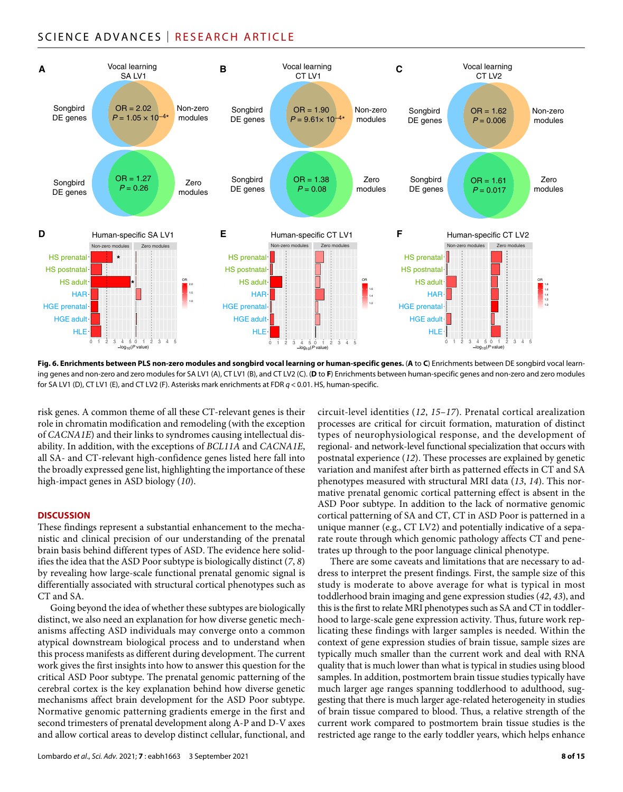# SCIENCE ADVANCES | RESEARCH ARTICLE



**Fig. 6. Enrichments between PLS non-zero modules and songbird vocal learning or human-specific genes.** (**A** to **C**) Enrichments between DE songbird vocal learning genes and non-zero and zero modules for SA LV1 (A), CT LV1 (B), and CT LV2 (C). (**D** to **F**) Enrichments between human-specific genes and non-zero and zero modules for SA LV1 (D), CT LV1 (E), and CT LV2 (F). Asterisks mark enrichments at FDR *q* < 0.01. HS, human-specific.

risk genes. A common theme of all these CT-relevant genes is their role in chromatin modification and remodeling (with the exception of *CACNA1E*) and their links to syndromes causing intellectual disability. In addition, with the exceptions of *BCL11A* and *CACNA1E*, all SA- and CT-relevant high-confidence genes listed here fall into the broadly expressed gene list, highlighting the importance of these high-impact genes in ASD biology (*10*).

#### **DISCUSSION**

These findings represent a substantial enhancement to the mechanistic and clinical precision of our understanding of the prenatal brain basis behind different types of ASD. The evidence here solidifies the idea that the ASD Poor subtype is biologically distinct (*7*, *8*) by revealing how large-scale functional prenatal genomic signal is differentially associated with structural cortical phenotypes such as CT and SA.

Going beyond the idea of whether these subtypes are biologically distinct, we also need an explanation for how diverse genetic mechanisms affecting ASD individuals may converge onto a common atypical downstream biological process and to understand when this process manifests as different during development. The current work gives the first insights into how to answer this question for the critical ASD Poor subtype. The prenatal genomic patterning of the cerebral cortex is the key explanation behind how diverse genetic mechanisms affect brain development for the ASD Poor subtype. Normative genomic patterning gradients emerge in the first and second trimesters of prenatal development along A-P and D-V axes and allow cortical areas to develop distinct cellular, functional, and

circuit-level identities (*12*, *15*–*17*). Prenatal cortical arealization processes are critical for circuit formation, maturation of distinct types of neurophysiological response, and the development of regional- and network-level functional specialization that occurs with postnatal experience (*12*). These processes are explained by genetic variation and manifest after birth as patterned effects in CT and SA phenotypes measured with structural MRI data (*13*, *14*). This normative prenatal genomic cortical patterning effect is absent in the ASD Poor subtype. In addition to the lack of normative genomic cortical patterning of SA and CT, CT in ASD Poor is patterned in a unique manner (e.g., CT LV2) and potentially indicative of a separate route through which genomic pathology affects CT and penetrates up through to the poor language clinical phenotype.

There are some caveats and limitations that are necessary to address to interpret the present findings. First, the sample size of this study is moderate to above average for what is typical in most toddlerhood brain imaging and gene expression studies (*42*, *43*), and this is the first to relate MRI phenotypes such as SA and CT in toddlerhood to large-scale gene expression activity. Thus, future work replicating these findings with larger samples is needed. Within the context of gene expression studies of brain tissue, sample sizes are typically much smaller than the current work and deal with RNA quality that is much lower than what is typical in studies using blood samples. In addition, postmortem brain tissue studies typically have much larger age ranges spanning toddlerhood to adulthood, suggesting that there is much larger age-related heterogeneity in studies of brain tissue compared to blood. Thus, a relative strength of the current work compared to postmortem brain tissue studies is the restricted age range to the early toddler years, which helps enhance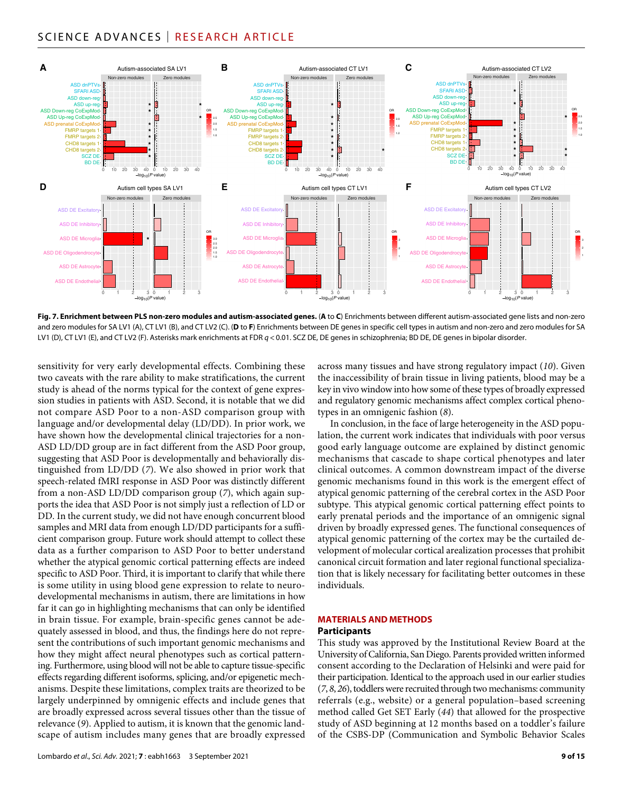

**Fig. 7. Enrichment between PLS non-zero modules and autism-associated genes.** (**A** to **C**) Enrichments between different autism-associated gene lists and non-zero and zero modules for SA LV1 (A), CT LV1 (B), and CT LV2 (C). (**D** to **F**) Enrichments between DE genes in specific cell types in autism and non-zero and zero modules for SA LV1 (D), CT LV1 (E), and CT LV2 (F). Asterisks mark enrichments at FDR *q* < 0.01. SCZ DE, DE genes in schizophrenia; BD DE, DE genes in bipolar disorder.

sensitivity for very early developmental effects. Combining these two caveats with the rare ability to make stratifications, the current study is ahead of the norms typical for the context of gene expression studies in patients with ASD. Second, it is notable that we did not compare ASD Poor to a non-ASD comparison group with language and/or developmental delay (LD/DD). In prior work, we have shown how the developmental clinical trajectories for a non-ASD LD/DD group are in fact different from the ASD Poor group, suggesting that ASD Poor is developmentally and behaviorally distinguished from LD/DD (*7*). We also showed in prior work that speech-related fMRI response in ASD Poor was distinctly different from a non-ASD LD/DD comparison group (*7*), which again supports the idea that ASD Poor is not simply just a reflection of LD or DD. In the current study, we did not have enough concurrent blood samples and MRI data from enough LD/DD participants for a sufficient comparison group. Future work should attempt to collect these data as a further comparison to ASD Poor to better understand whether the atypical genomic cortical patterning effects are indeed specific to ASD Poor. Third, it is important to clarify that while there is some utility in using blood gene expression to relate to neurodevelopmental mechanisms in autism, there are limitations in how far it can go in highlighting mechanisms that can only be identified in brain tissue. For example, brain-specific genes cannot be adequately assessed in blood, and thus, the findings here do not represent the contributions of such important genomic mechanisms and how they might affect neural phenotypes such as cortical patterning. Furthermore, using blood will not be able to capture tissue-specific effects regarding different isoforms, splicing, and/or epigenetic mechanisms. Despite these limitations, complex traits are theorized to be largely underpinned by omnigenic effects and include genes that are broadly expressed across several tissues other than the tissue of relevance (*9*). Applied to autism, it is known that the genomic landscape of autism includes many genes that are broadly expressed

across many tissues and have strong regulatory impact (*10*). Given the inaccessibility of brain tissue in living patients, blood may be a key in vivo window into how some of these types of broadly expressed and regulatory genomic mechanisms affect complex cortical phenotypes in an omnigenic fashion (*8*).

In conclusion, in the face of large heterogeneity in the ASD population, the current work indicates that individuals with poor versus good early language outcome are explained by distinct genomic mechanisms that cascade to shape cortical phenotypes and later clinical outcomes. A common downstream impact of the diverse genomic mechanisms found in this work is the emergent effect of atypical genomic patterning of the cerebral cortex in the ASD Poor subtype. This atypical genomic cortical patterning effect points to early prenatal periods and the importance of an omnigenic signal driven by broadly expressed genes. The functional consequences of atypical genomic patterning of the cortex may be the curtailed development of molecular cortical arealization processes that prohibit canonical circuit formation and later regional functional specialization that is likely necessary for facilitating better outcomes in these individuals.

# **MATERIALS AND METHODS**

# **Participants**

This study was approved by the Institutional Review Board at the University of California, San Diego. Parents provided written informed consent according to the Declaration of Helsinki and were paid for their participation. Identical to the approach used in our earlier studies (*7*, *8*, *26*), toddlers were recruited through two mechanisms: community referrals (e.g., website) or a general population–based screening method called Get SET Early (*44*) that allowed for the prospective study of ASD beginning at 12 months based on a toddler's failure of the CSBS-DP (Communication and Symbolic Behavior Scales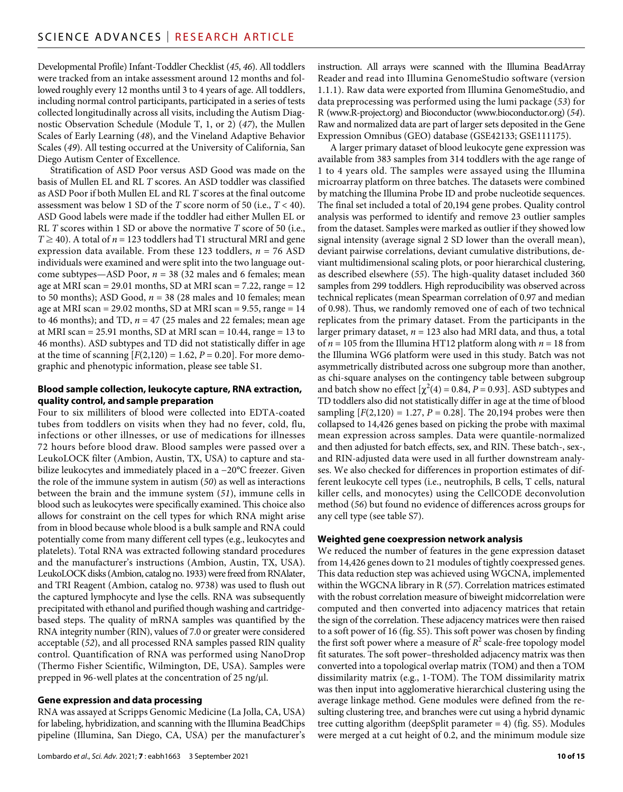Developmental Profile) Infant-Toddler Checklist (*45*, *46*). All toddlers were tracked from an intake assessment around 12 months and followed roughly every 12 months until 3 to 4 years of age. All toddlers, including normal control participants, participated in a series of tests collected longitudinally across all visits, including the Autism Diagnostic Observation Schedule (Module T, 1, or 2) (*47*), the Mullen Scales of Early Learning (*48*), and the Vineland Adaptive Behavior Scales (*49*). All testing occurred at the University of California, San Diego Autism Center of Excellence.

Stratification of ASD Poor versus ASD Good was made on the basis of Mullen EL and RL *T* scores. An ASD toddler was classified as ASD Poor if both Mullen EL and RL *T* scores at the final outcome assessment was below 1 SD of the *T* score norm of 50 (i.e., *T* < 40). ASD Good labels were made if the toddler had either Mullen EL or RL *T* scores within 1 SD or above the normative *T* score of 50 (i.e.,  $T \ge 40$ ). A total of  $n = 123$  toddlers had T1 structural MRI and gene expression data available. From these 123 toddlers, *n* = 76 ASD individuals were examined and were split into the two language outcome subtypes—ASD Poor,  $n = 38$  (32 males and 6 females; mean age at MRI scan = 29.01 months, SD at MRI scan = 7.22, range = 12 to 50 months); ASD Good,  $n = 38$  (28 males and 10 females; mean age at MRI scan =  $29.02$  months, SD at MRI scan =  $9.55$ , range =  $14$ to 46 months); and TD,  $n = 47$  (25 males and 22 females; mean age at MRI scan =  $25.91$  months, SD at MRI scan =  $10.44$ , range =  $13$  to 46 months). ASD subtypes and TD did not statistically differ in age at the time of scanning  $[F(2,120) = 1.62, P = 0.20]$ . For more demographic and phenotypic information, please see table S1.

# **Blood sample collection, leukocyte capture, RNA extraction, quality control, and sample preparation**

Four to six milliliters of blood were collected into EDTA-coated tubes from toddlers on visits when they had no fever, cold, flu, infections or other illnesses, or use of medications for illnesses 72 hours before blood draw. Blood samples were passed over a LeukoLOCK filter (Ambion, Austin, TX, USA) to capture and stabilize leukocytes and immediately placed in a −20°C freezer. Given the role of the immune system in autism (*50*) as well as interactions between the brain and the immune system (*51*), immune cells in blood such as leukocytes were specifically examined. This choice also allows for constraint on the cell types for which RNA might arise from in blood because whole blood is a bulk sample and RNA could potentially come from many different cell types (e.g., leukocytes and platelets). Total RNA was extracted following standard procedures and the manufacturer's instructions (Ambion, Austin, TX, USA). LeukoLOCK disks (Ambion, catalog no. 1933) were freed from RNAlater, and TRI Reagent (Ambion, catalog no. 9738) was used to flush out the captured lymphocyte and lyse the cells. RNA was subsequently precipitated with ethanol and purified though washing and cartridgebased steps. The quality of mRNA samples was quantified by the RNA integrity number (RIN), values of 7.0 or greater were considered acceptable (*52*), and all processed RNA samples passed RIN quality control. Quantification of RNA was performed using NanoDrop (Thermo Fisher Scientific, Wilmington, DE, USA). Samples were prepped in 96-well plates at the concentration of 25 ng/ $\mu$ l.

# **Gene expression and data processing**

RNA was assayed at Scripps Genomic Medicine (La Jolla, CA, USA) for labeling, hybridization, and scanning with the Illumina BeadChips pipeline (Illumina, San Diego, CA, USA) per the manufacturer's instruction. All arrays were scanned with the Illumina BeadArray Reader and read into Illumina GenomeStudio software (version 1.1.1). Raw data were exported from Illumina GenomeStudio, and data preprocessing was performed using the lumi package (*53*) for R [\(www.R-project.org](http://www.R-project.org)) and Bioconductor [\(www.bioconductor.org\)](http://www.bioconductor.org) (*54*). Raw and normalized data are part of larger sets deposited in the Gene Expression Omnibus (GEO) database (GSE42133; GSE111175).

A larger primary dataset of blood leukocyte gene expression was available from 383 samples from 314 toddlers with the age range of 1 to 4 years old. The samples were assayed using the Illumina microarray platform on three batches. The datasets were combined by matching the Illumina Probe ID and probe nucleotide sequences. The final set included a total of 20,194 gene probes. Quality control analysis was performed to identify and remove 23 outlier samples from the dataset. Samples were marked as outlier if they showed low signal intensity (average signal 2 SD lower than the overall mean), deviant pairwise correlations, deviant cumulative distributions, deviant multidimensional scaling plots, or poor hierarchical clustering, as described elsewhere (*55*). The high-quality dataset included 360 samples from 299 toddlers. High reproducibility was observed across technical replicates (mean Spearman correlation of 0.97 and median of 0.98). Thus, we randomly removed one of each of two technical replicates from the primary dataset. From the participants in the larger primary dataset, *n* = 123 also had MRI data, and thus, a total of  $n = 105$  from the Illumina HT12 platform along with  $n = 18$  from the Illumina WG6 platform were used in this study. Batch was not asymmetrically distributed across one subgroup more than another, as chi-square analyses on the contingency table between subgroup and batch show no effect  $\left[\chi^2(4) = 0.84, P = 0.93\right]$ . ASD subtypes and TD toddlers also did not statistically differ in age at the time of blood sampling [*F*(2,120) = 1.27, *P* = 0.28]. The 20,194 probes were then collapsed to 14,426 genes based on picking the probe with maximal mean expression across samples. Data were quantile-normalized and then adjusted for batch effects, sex, and RIN. These batch-, sex-, and RIN-adjusted data were used in all further downstream analyses. We also checked for differences in proportion estimates of different leukocyte cell types (i.e., neutrophils, B cells, T cells, natural killer cells, and monocytes) using the CellCODE deconvolution method (*56*) but found no evidence of differences across groups for any cell type (see table S7).

# **Weighted gene coexpression network analysis**

We reduced the number of features in the gene expression dataset from 14,426 genes down to 21 modules of tightly coexpressed genes. This data reduction step was achieved using WGCNA, implemented within the WGCNA library in R (*57*). Correlation matrices estimated with the robust correlation measure of biweight midcorrelation were computed and then converted into adjacency matrices that retain the sign of the correlation. These adjacency matrices were then raised to a soft power of 16 (fig. S5). This soft power was chosen by finding the first soft power where a measure of  $R^2$  scale-free topology model fit saturates. The soft power–thresholded adjacency matrix was then converted into a topological overlap matrix (TOM) and then a TOM dissimilarity matrix (e.g., 1-TOM). The TOM dissimilarity matrix was then input into agglomerative hierarchical clustering using the average linkage method. Gene modules were defined from the resulting clustering tree, and branches were cut using a hybrid dynamic tree cutting algorithm (deepSplit parameter = 4) (fig. S5). Modules were merged at a cut height of 0.2, and the minimum module size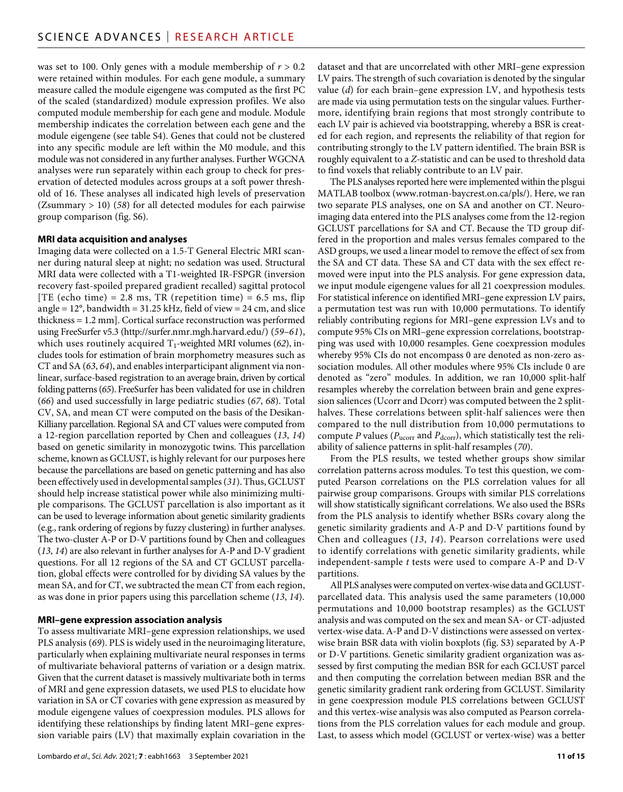was set to 100. Only genes with a module membership of *r* > 0.2 were retained within modules. For each gene module, a summary measure called the module eigengene was computed as the first PC of the scaled (standardized) module expression profiles. We also computed module membership for each gene and module. Module membership indicates the correlation between each gene and the module eigengene (see table S4). Genes that could not be clustered into any specific module are left within the M0 module, and this module was not considered in any further analyses. Further WGCNA analyses were run separately within each group to check for preservation of detected modules across groups at a soft power threshold of 16. These analyses all indicated high levels of preservation (Zsummary > 10) (*58*) for all detected modules for each pairwise group comparison (fig. S6).

### **MRI data acquisition and analyses**

Imaging data were collected on a 1.5-T General Electric MRI scanner during natural sleep at night; no sedation was used. Structural MRI data were collected with a T1-weighted IR-FSPGR (inversion recovery fast-spoiled prepared gradient recalled) sagittal protocol [TE (echo time) = 2.8 ms, TR (repetition time) = 6.5 ms, flip angle =  $12^{\circ}$ , bandwidth =  $31.25$  kHz, field of view =  $24$  cm, and slice thickness = 1.2 mm]. Cortical surface reconstruction was performed using FreeSurfer v5.3 [\(http://surfer.nmr.mgh.harvard.edu/\)](http://surfer.nmr.mgh.harvard.edu/) (*59*–*61*), which uses routinely acquired  $T_1$ -weighted MRI volumes (62), includes tools for estimation of brain morphometry measures such as CT and SA (*63*, *64*), and enables interparticipant alignment via nonlinear, surface-based registration to an average brain, driven by cortical folding patterns (*65*). FreeSurfer has been validated for use in children (*66*) and used successfully in large pediatric studies (*67*, *68*). Total CV, SA, and mean CT were computed on the basis of the Desikan-Killiany parcellation. Regional SA and CT values were computed from a 12-region parcellation reported by Chen and colleagues (*13*, *14*) based on genetic similarity in monozygotic twins. This parcellation scheme, known as GCLUST, is highly relevant for our purposes here because the parcellations are based on genetic patterning and has also been effectively used in developmental samples (*31*). Thus, GCLUST should help increase statistical power while also minimizing multiple comparisons. The GCLUST parcellation is also important as it can be used to leverage information about genetic similarity gradients (e.g., rank ordering of regions by fuzzy clustering) in further analyses. The two-cluster A-P or D-V partitions found by Chen and colleagues (*13*, *14*) are also relevant in further analyses for A-P and D-V gradient questions. For all 12 regions of the SA and CT GCLUST parcellation, global effects were controlled for by dividing SA values by the mean SA, and for CT, we subtracted the mean CT from each region, as was done in prior papers using this parcellation scheme (*13*, *14*).

### **MRI–gene expression association analysis**

To assess multivariate MRI–gene expression relationships, we used PLS analysis (*69*). PLS is widely used in the neuroimaging literature, particularly when explaining multivariate neural responses in terms of multivariate behavioral patterns of variation or a design matrix. Given that the current dataset is massively multivariate both in terms of MRI and gene expression datasets, we used PLS to elucidate how variation in SA or CT covaries with gene expression as measured by module eigengene values of coexpression modules. PLS allows for identifying these relationships by finding latent MRI–gene expression variable pairs (LV) that maximally explain covariation in the

dataset and that are uncorrelated with other MRI–gene expression LV pairs. The strength of such covariation is denoted by the singular value (*d*) for each brain–gene expression LV, and hypothesis tests are made via using permutation tests on the singular values. Furthermore, identifying brain regions that most strongly contribute to each LV pair is achieved via bootstrapping, whereby a BSR is created for each region, and represents the reliability of that region for contributing strongly to the LV pattern identified. The brain BSR is roughly equivalent to a *Z*-statistic and can be used to threshold data to find voxels that reliably contribute to an LV pair.

The PLS analyses reported here were implemented within the plsgui MATLAB toolbox ([www.rotman-baycrest.on.ca/pls/](http://www.rotman-baycrest.on.ca/pls/)). Here, we ran two separate PLS analyses, one on SA and another on CT. Neuroimaging data entered into the PLS analyses come from the 12-region GCLUST parcellations for SA and CT. Because the TD group differed in the proportion and males versus females compared to the ASD groups, we used a linear model to remove the effect of sex from the SA and CT data. These SA and CT data with the sex effect removed were input into the PLS analysis. For gene expression data, we input module eigengene values for all 21 coexpression modules. For statistical inference on identified MRI–gene expression LV pairs, a permutation test was run with 10,000 permutations. To identify reliably contributing regions for MRI–gene expression LVs and to compute 95% CIs on MRI–gene expression correlations, bootstrapping was used with 10,000 resamples. Gene coexpression modules whereby 95% CIs do not encompass 0 are denoted as non-zero association modules. All other modules where 95% CIs include 0 are denoted as "zero" modules. In addition, we ran 10,000 split-half resamples whereby the correlation between brain and gene expression saliences (Ucorr and Dcorr) was computed between the 2 splithalves. These correlations between split-half saliences were then compared to the null distribution from 10,000 permutations to compute *P* values ( $P_{\text{ucorr}}$  and  $P_{\text{dcorr}}$ ), which statistically test the reliability of salience patterns in split-half resamples (*70*).

From the PLS results, we tested whether groups show similar correlation patterns across modules. To test this question, we computed Pearson correlations on the PLS correlation values for all pairwise group comparisons. Groups with similar PLS correlations will show statistically significant correlations. We also used the BSRs from the PLS analysis to identify whether BSRs covary along the genetic similarity gradients and A-P and D-V partitions found by Chen and colleagues (*13*, *14*). Pearson correlations were used to identify correlations with genetic similarity gradients, while independent-sample *t* tests were used to compare A-P and D-V partitions.

All PLS analyses were computed on vertex-wise data and GCLUSTparcellated data. This analysis used the same parameters (10,000 permutations and 10,000 bootstrap resamples) as the GCLUST analysis and was computed on the sex and mean SA- or CT-adjusted vertex-wise data. A-P and D-V distinctions were assessed on vertexwise brain BSR data with violin boxplots (fig. S3) separated by A-P or D-V partitions. Genetic similarity gradient organization was assessed by first computing the median BSR for each GCLUST parcel and then computing the correlation between median BSR and the genetic similarity gradient rank ordering from GCLUST. Similarity in gene coexpression module PLS correlations between GCLUST and this vertex-wise analysis was also computed as Pearson correlations from the PLS correlation values for each module and group. Last, to assess which model (GCLUST or vertex-wise) was a better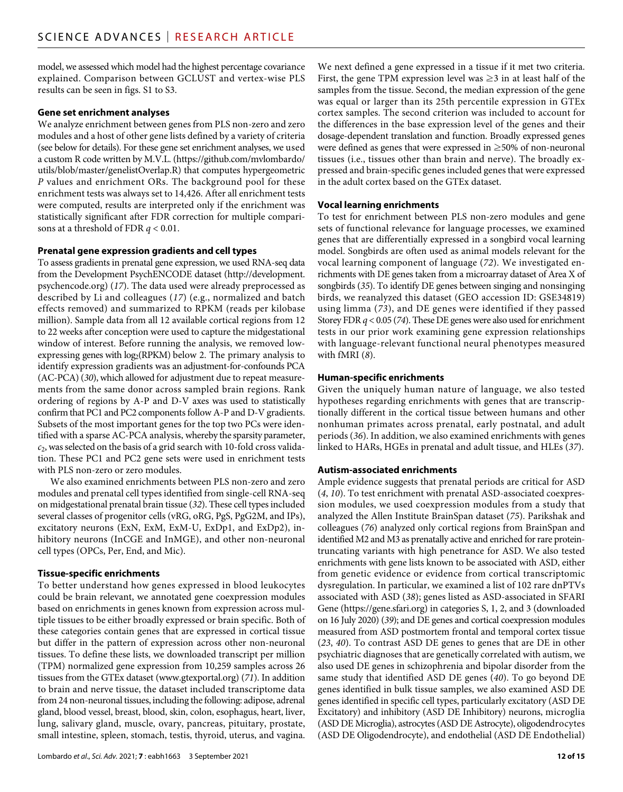model, we assessed which model had the highest percentage covariance explained. Comparison between GCLUST and vertex-wise PLS results can be seen in figs. S1 to S3.

# **Gene set enrichment analyses**

We analyze enrichment between genes from PLS non-zero and zero modules and a host of other gene lists defined by a variety of criteria (see below for details). For these gene set enrichment analyses, we used a custom R code written by M.V.L. [\(https://github.com/mvlombardo/](https://github.com/mvlombardo/utils/blob/master/genelistOverlap.R) [utils/blob/master/genelistOverlap.R\)](https://github.com/mvlombardo/utils/blob/master/genelistOverlap.R) that computes hypergeometric *P* values and enrichment ORs. The background pool for these enrichment tests was always set to 14,426. After all enrichment tests were computed, results are interpreted only if the enrichment was statistically significant after FDR correction for multiple comparisons at a threshold of FDR *q* < 0.01.

### **Prenatal gene expression gradients and cell types**

To assess gradients in prenatal gene expression, we used RNA-seq data from the Development PsychENCODE dataset [\(http://development.](http://development.psychencode.org) [psychencode.org\)](http://development.psychencode.org) (*17*). The data used were already preprocessed as described by Li and colleagues (*17*) (e.g., normalized and batch effects removed) and summarized to RPKM (reads per kilobase million). Sample data from all 12 available cortical regions from 12 to 22 weeks after conception were used to capture the midgestational window of interest. Before running the analysis, we removed lowexpressing genes with log<sub>2</sub>(RPKM) below 2. The primary analysis to identify expression gradients was an adjustment-for-confounds PCA (AC-PCA) (*30*), which allowed for adjustment due to repeat measurements from the same donor across sampled brain regions. Rank ordering of regions by A-P and D-V axes was used to statistically confirm that PC1 and PC2 components follow A-P and D-V gradients. Subsets of the most important genes for the top two PCs were identified with a sparse AC-PCA analysis, whereby the sparsity parameter, *c*2, was selected on the basis of a grid search with 10-fold cross validation. These PC1 and PC2 gene sets were used in enrichment tests with PLS non-zero or zero modules.

We also examined enrichments between PLS non-zero and zero modules and prenatal cell types identified from single-cell RNA-seq on midgestational prenatal brain tissue (*32*). These cell types included several classes of progenitor cells (vRG, oRG, PgS, PgG2M, and IPs), excitatory neurons (ExN, ExM, ExM-U, ExDp1, and ExDp2), inhibitory neurons (InCGE and InMGE), and other non-neuronal cell types (OPCs, Per, End, and Mic).

### **Tissue-specific enrichments**

To better understand how genes expressed in blood leukocytes could be brain relevant, we annotated gene coexpression modules based on enrichments in genes known from expression across multiple tissues to be either broadly expressed or brain specific. Both of these categories contain genes that are expressed in cortical tissue but differ in the pattern of expression across other non-neuronal tissues. To define these lists, we downloaded transcript per million (TPM) normalized gene expression from 10,259 samples across 26 tissues from the GTEx dataset ([www.gtexportal.org\)](http://www.gtexportal.org) (*71*). In addition to brain and nerve tissue, the dataset included transcriptome data from 24 non-neuronal tissues, including the following: adipose, adrenal gland, blood vessel, breast, blood, skin, colon, esophagus, heart, liver, lung, salivary gland, muscle, ovary, pancreas, pituitary, prostate, small intestine, spleen, stomach, testis, thyroid, uterus, and vagina.

We next defined a gene expressed in a tissue if it met two criteria. First, the gene TPM expression level was  $\geq$ 3 in at least half of the samples from the tissue. Second, the median expression of the gene was equal or larger than its 25th percentile expression in GTEx cortex samples. The second criterion was included to account for the differences in the base expression level of the genes and their dosage-dependent translation and function. Broadly expressed genes were defined as genes that were expressed in ≥50% of non-neuronal tissues (i.e., tissues other than brain and nerve). The broadly expressed and brain-specific genes included genes that were expressed in the adult cortex based on the GTEx dataset.

# **Vocal learning enrichments**

To test for enrichment between PLS non-zero modules and gene sets of functional relevance for language processes, we examined genes that are differentially expressed in a songbird vocal learning model. Songbirds are often used as animal models relevant for the vocal learning component of language (*72*). We investigated enrichments with DE genes taken from a microarray dataset of Area X of songbirds (*35*). To identify DE genes between singing and nonsinging birds, we reanalyzed this dataset (GEO accession ID: GSE34819) using limma (*73*), and DE genes were identified if they passed Storey FDR *q* < 0.05 (*74*). These DE genes were also used for enrichment tests in our prior work examining gene expression relationships with language-relevant functional neural phenotypes measured with fMRI (*8*).

# **Human-specific enrichments**

Given the uniquely human nature of language, we also tested hypotheses regarding enrichments with genes that are transcriptionally different in the cortical tissue between humans and other nonhuman primates across prenatal, early postnatal, and adult periods (*36*). In addition, we also examined enrichments with genes linked to HARs, HGEs in prenatal and adult tissue, and HLEs (*37*).

### **Autism-associated enrichments**

Ample evidence suggests that prenatal periods are critical for ASD (*4*, *10*). To test enrichment with prenatal ASD-associated coexpression modules, we used coexpression modules from a study that analyzed the Allen Institute BrainSpan dataset (*75*). Parikshak and colleagues (*76*) analyzed only cortical regions from BrainSpan and identified M2 and M3 as prenatally active and enriched for rare proteintruncating variants with high penetrance for ASD. We also tested enrichments with gene lists known to be associated with ASD, either from genetic evidence or evidence from cortical transcriptomic dysregulation. In particular, we examined a list of 102 rare dnPTVs associated with ASD (*38*); genes listed as ASD-associated in SFARI Gene [\(https://gene.sfari.org\)](https://gene.sfari.org) in categories S, 1, 2, and 3 (downloaded on 16 July 2020) (*39*); and DE genes and cortical coexpression modules measured from ASD postmortem frontal and temporal cortex tissue (*23*, *40*). To contrast ASD DE genes to genes that are DE in other psychiatric diagnoses that are genetically correlated with autism, we also used DE genes in schizophrenia and bipolar disorder from the same study that identified ASD DE genes (*40*). To go beyond DE genes identified in bulk tissue samples, we also examined ASD DE genes identified in specific cell types, particularly excitatory (ASD DE Excitatory) and inhibitory (ASD DE Inhibitory) neurons, microglia (ASD DE Microglia), astrocytes (ASD DE Astrocyte), oligodendrocytes (ASD DE Oligodendrocyte), and endothelial (ASD DE Endothelial)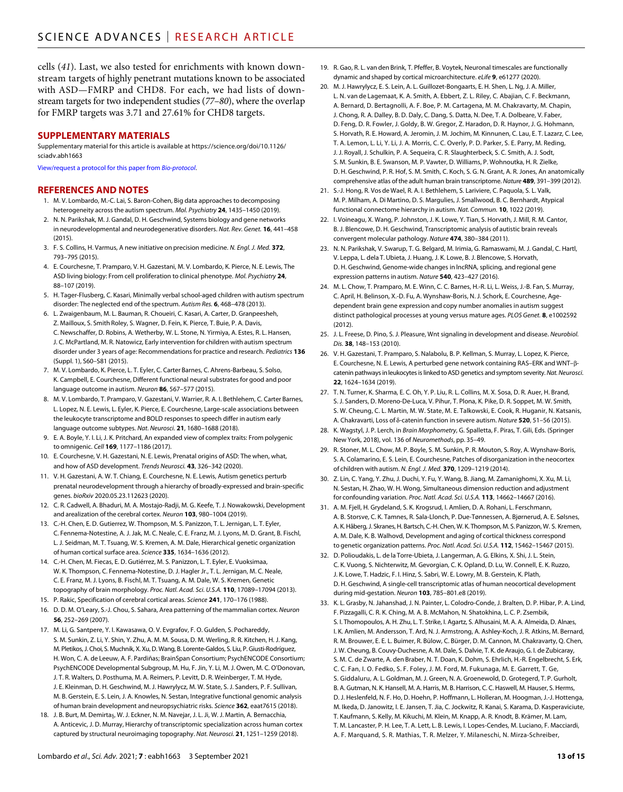cells (*41*). Last, we also tested for enrichments with known downstream targets of highly penetrant mutations known to be associated with ASD—FMRP and CHD8. For each, we had lists of downstream targets for two independent studies (*77*–*80*), where the overlap for FMRP targets was 3.71 and 27.61% for CHD8 targets.

### **SUPPLEMENTARY MATERIALS**

Supplementary material for this article is available at [https://science.org/doi/10.1126/](https://science.org/doi/10.1126/sciadv.abh1663) [sciadv.abh1663](https://science.org/doi/10.1126/sciadv.abh1663)

[View/request a protocol for this paper from](https://en.bio-protocol.org/cjrap.aspx?eid=10.1126/sciadv.abh1663) *Bio-protocol*.

# **REFERENCES AND NOTES**

- 1. M. V. Lombardo, M.-C. Lai, S. Baron-Cohen, Big data approaches to decomposing heterogeneity across the autism spectrum. *Mol. Psychiatry* **24**, 1435–1450 (2019).
- 2. N. N. Parikshak, M. J. Gandal, D. H. Geschwind, Systems biology and gene networks in neurodevelopmental and neurodegenerative disorders. *Nat. Rev. Genet.* **16**, 441–458  $(2015)$
- 3. F. S. Collins, H. Varmus, A new initiative on precision medicine. *N. Engl. J. Med.* **372**, 793–795 (2015).
- 4. E. Courchesne, T. Pramparo, V. H. Gazestani, M. V. Lombardo, K. Pierce, N. E. Lewis, The ASD living biology: From cell proliferation to clinical phenotype. *Mol. Psychiatry* **24**, 88–107 (2019).
- 5. H. Tager-Flusberg, C. Kasari, Minimally verbal school-aged children with autism spectrum disorder: The neglected end of the spectrum. *Autism Res.* **6**, 468–478 (2013).
- 6. L. Zwaigenbaum, M. L. Bauman, R. Choueiri, C. Kasari, A. Carter, D. Granpeesheh, Z. Mailloux, S. Smith Roley, S. Wagner, D. Fein, K. Pierce, T. Buie, P. A. Davis, C. Newschaffer, D. Robins, A. Wetherby, W. L. Stone, N. Yirmiya, A. Estes, R. L. Hansen, J. C. McPartland, M. R. Natowicz, Early intervention for children with autism spectrum disorder under 3 years of age: Recommendations for practice and research. *Pediatrics* **136** (Suppl. 1), S60–S81 (2015).
- 7. M. V. Lombardo, K. Pierce, L. T. Eyler, C. Carter Barnes, C. Ahrens-Barbeau, S. Solso, K. Campbell, E. Courchesne, Different functional neural substrates for good and poor language outcome in autism. *Neuron* **86**, 567–577 (2015).
- 8. M. V. Lombardo, T. Pramparo, V. Gazestani, V. Warrier, R. A. I. Bethlehem, C. Carter Barnes, L. Lopez, N. E. Lewis, L. Eyler, K. Pierce, E. Courchesne, Large-scale associations between the leukocyte transcriptome and BOLD responses to speech differ in autism early language outcome subtypes. *Nat. Neurosci.* **21**, 1680–1688 (2018).
- 9. E. A. Boyle, Y. I. Li, J. K. Pritchard, An expanded view of complex traits: From polygenic to omnigenic. *Cell* **169**, 1177–1186 (2017).
- 10. E. Courchesne, V. H. Gazestani, N. E. Lewis, Prenatal origins of ASD: The when, what, and how of ASD development. *Trends Neurosci.* **43**, 326–342 (2020).
- 11. V. H. Gazestani, A. W. T. Chiang, E. Courchesne, N. E. Lewis, Autism genetics perturb prenatal neurodevelopment through a hierarchy of broadly-expressed and brain-specific genes. *bioRxiv* 2020.05.23.112623 (2020).
- 12. C. R. Cadwell, A. Bhaduri, M. A. Mostajo-Radji, M. G. Keefe, T. J. Nowakowski, Development and arealization of the cerebral cortex. *Neuron* **103**, 980–1004 (2019).
- 13. C.-H. Chen, E. D. Gutierrez, W. Thompson, M. S. Panizzon, T. L. Jernigan, L. T. Eyler, C. Fennema-Notestine, A. J. Jak, M. C. Neale, C. E. Franz, M. J. Lyons, M. D. Grant, B. Fischl, L. J. Seidman, M. T. Tsuang, W. S. Kremen, A. M. Dale, Hierarchical genetic organization of human cortical surface area. *Science* **335**, 1634–1636 (2012).
- 14. C.-H. Chen, M. Fiecas, E. D. Gutiérrez, M. S. Panizzon, L. T. Eyler, E. Vuoksimaa, W. K. Thompson, C. Fennema-Notestine, D. J. Hagler Jr., T. L. Jernigan, M. C. Neale, C. E. Franz, M. J. Lyons, B. Fischl, M. T. Tsuang, A. M. Dale, W. S. Kremen, Genetic topography of brain morphology. *Proc. Natl. Acad. Sci. U.S.A.* **110**, 17089–17094 (2013).
- 15. P. Rakic, Specification of cerebral cortical areas. *Science* **241**, 170–176 (1988).
- 16. D. D. M. O'Leary, S.-J. Chou, S. Sahara, Area patterning of the mammalian cortex. *Neuron* **56**, 252–269 (2007).
- 17. M. Li, G. Santpere, Y. I. Kawasawa, O. V. Evgrafov, F. O. Gulden, S. Pochareddy, S. M. Sunkin, Z. Li, Y. Shin, Y. Zhu, A. M. M. Sousa, D. M. Werling, R. R. Kitchen, H. J. Kang, M. Pletikos, J. Choi, S. Muchnik, X. Xu, D. Wang, B. Lorente-Galdos, S. Liu, P.Giusti-Rodríguez, H. Won, C. A. de Leeuw, A. F. Pardiñas; BrainSpan Consortium; PsychENCODE Consortium; PsychENCODE Developmental Subgroup, M. Hu, F. Jin, Y. Li, M. J. Owen, M. C. O'Donovan, J. T. R. Walters, D. Posthuma, M. A. Reimers, P. Levitt, D. R. Weinberger, T. M. Hyde, J. E. Kleinman, D. H. Geschwind, M. J. Hawrylycz, M. W. State, S. J. Sanders, P. F. Sullivan, M. B. Gerstein, E. S. Lein, J. A. Knowles, N. Sestan, Integrative functional genomic analysis of human brain development and neuropsychiatric risks. *Science* **362**, eaat7615 (2018).
- 18. J. B. Burt, M. Demirtaş, W. J. Eckner, N. M. Navejar, J. L. Ji, W. J. Martin, A. Bernacchia, A. Anticevic, J. D. Murray, Hierarchy of transcriptomic specialization across human cortex captured by structural neuroimaging topography. *Nat. Neurosci.* **21**, 1251–1259 (2018).
- 19. R. Gao, R. L. van den Brink, T. Pfeffer, B. Voytek, Neuronal timescales are functionally dynamic and shaped by cortical microarchitecture. *eLife* **9**, e61277 (2020).
- 20. M. J. Hawrylycz, E. S. Lein, A. L. Guillozet-Bongaarts, E. H. Shen, L. Ng, J. A. Miller, L. N. van de Lagemaat, K. A. Smith, A. Ebbert, Z. L. Riley, C. Abajian, C. F. Beckmann, A. Bernard, D. Bertagnolli, A. F. Boe, P. M. Cartagena, M. M. Chakravarty, M. Chapin, J. Chong, R. A. Dalley, B. D. Daly, C. Dang, S. Datta, N. Dee, T. A. Dolbeare, V. Faber, D. Feng, D. R. Fowler, J. Goldy, B. W. Gregor, Z. Haradon, D. R. Haynor, J. G. Hohmann, S. Horvath, R. E. Howard, A. Jeromin, J. M. Jochim, M. Kinnunen, C. Lau, E. T. Lazarz, C. Lee, T. A. Lemon, L. Li, Y. Li, J. A. Morris, C. C. Overly, P. D. Parker, S. E. Parry, M. Reding, J. J. Royall, J. Schulkin, P. A. Sequeira, C. R. Slaughterbeck, S. C. Smith, A. J. Sodt, S. M. Sunkin, B. E. Swanson, M. P. Vawter, D. Williams, P. Wohnoutka, H. R. Zielke, D. H. Geschwind, P. R. Hof, S. M. Smith, C. Koch, S. G. N. Grant, A. R. Jones, An anatomically comprehensive atlas ofthe adult human brain transcriptome. *Nature* **489**, 391–399 (2012).
- 21. S.-J. Hong, R. Vos de Wael, R. A. I. Bethlehem, S. Lariviere, C. Paquola, S. L. Valk, M. P. Milham, A. Di Martino, D. S. Margulies, J. Smallwood, B. C. Bernhardt, Atypical functional connectome hierarchy in autism. *Nat. Commun.* **10**, 1022 (2019).
- 22. I. Voineagu, X. Wang, P. Johnston, J. K. Lowe, Y. Tian, S. Horvath, J. Mill, R. M. Cantor, B. J. Blencowe, D. H. Geschwind, Transcriptomic analysis of autistic brain reveals convergent molecular pathology. *Nature* **474**, 380–384 (2011).
- 23. N. N. Parikshak, V. Swarup, T. G. Belgard, M. Irimia, G. Ramaswami, M. J. Gandal, C. Hartl, V. Leppa, L. dela T. Ubieta, J. Huang, J. K. Lowe, B. J. Blencowe, S. Horvath, D. H. Geschwind, Genome-wide changes in lncRNA, splicing, and regional gene expression patterns in autism. *Nature* **540**, 423–427 (2016).
- 24. M. L. Chow, T. Pramparo, M. E. Winn, C. C. Barnes, H.-R. Li, L. Weiss, J.-B. Fan, S. Murray, C. April, H. Belinson, X.-D. Fu, A. Wynshaw-Boris, N. J. Schork, E. Courchesne, Agedependent brain gene expression and copy number anomalies in autism suggest distinct pathological processes at young versus mature ages. *PLOS Genet.* **8**, e1002592 (2012).
- 25. J. L. Freese, D. Pino, S. J. Pleasure, Wnt signaling in development and disease. *Neurobiol. Dis.* **38**, 148–153 (2010).
- 26. V. H. Gazestani, T. Pramparo, S. Nalabolu, B. P. Kellman, S. Murray, L. Lopez, K. Pierce, E. Courchesne, N. E. Lewis, A perturbed gene network containing RAS–ERK and WNT– catenin pathways in leukocytes is linked to ASD genetics and symptom severity. *Nat. Neurosci.* **22**, 1624–1634 (2019).
- 27. T. N. Turner, K. Sharma, E. C. Oh, Y. P. Liu, R. L. Collins, M. X. Sosa, D. R. Auer, H. Brand, S. J. Sanders, D. Moreno-De-Luca, V. Pihur, T. Plona, K. Pike, D. R. Soppet, M. W. Smith, S. W. Cheung, C. L. Martin, M. W. State, M. E. Talkowski, E. Cook, R. Huganir, N. Katsanis, A. Chakravarti, Loss of  $\delta$ -catenin function in severe autism. *Nature* **520**, 51–56 (2015).
- 28. K. Wagstyl, J. P. Lerch, in *Brain Morphometry*, G. Spalletta, F. Piras, T. Gili, Eds. (Springer New York, 2018), vol. 136 of *Neuromethods*, pp. 35–49.
- 29. R. Stoner, M. L. Chow, M. P. Boyle, S. M. Sunkin, P. R. Mouton, S. Roy, A. Wynshaw-Boris, S. A. Colamarino, E. S. Lein, E. Courchesne, Patches of disorganization in the neocortex of children with autism. *N. Engl. J. Med.* **370**, 1209–1219 (2014).
- 30. Z. Lin, C. Yang, Y. Zhu, J. Duchi, Y. Fu, Y. Wang, B. Jiang, M. Zamanighomi, X. Xu, M. Li, N. Sestan, H. Zhao, W. H. Wong, Simultaneous dimension reduction and adjustment for confounding variation. *Proc. Natl. Acad. Sci. U.S.A.* **113**, 14662–14667 (2016).
- 31. A. M. Fjell, H. Grydeland, S. K. Krogsrud, I. Amlien, D. A. Rohani, L. Ferschmann, A. B. Storsve, C. K. Tamnes, R. Sala-Llonch, P. Due-Tønnessen, A. Bjørnerud, A. E. Sølsnes, A. K.Håberg, J. Skranes, H. Bartsch, C.-H. Chen, W. K. Thompson, M. S. Panizzon, W. S. Kremen, A. M. Dale, K. B. Walhovd, Development and aging of cortical thickness correspond to genetic organization patterns. *Proc. Natl. Acad. Sci. U.S.A.* **112**, 15462–15467 (2015).
- 32. D. Polioudakis, L. de la Torre-Ubieta, J. Langerman, A. G. Elkins, X. Shi, J. L. Stein, C. K. Vuong, S. Nichterwitz, M. Gevorgian, C. K. Opland, D. Lu, W. Connell, E. K. Ruzzo, J. K. Lowe, T. Hadzic, F. I. Hinz, S. Sabri, W. E. Lowry, M. B. Gerstein, K. Plath, D. H. Geschwind, A single-cell transcriptomic atlas of human neocortical development during mid-gestation. *Neuron* **103**, 785–801.e8 (2019).
- 33. K. L. Grasby, N. Jahanshad, J. N. Painter, L. Colodro-Conde, J. Bralten, D. P. Hibar, P. A. Lind, F. Pizzagalli, C. R. K. Ching, M. A. B. McMahon, N. Shatokhina, L. C. P. Zsembik, S. I. Thomopoulos, A. H. Zhu, L. T. Strike, I. Agartz, S. Alhusaini, M. A. A. Almeida, D. Alnæs, I. K. Amlien, M. Andersson, T. Ard, N. J. Armstrong, A. Ashley-Koch, J. R. Atkins, M. Bernard, R. M. Brouwer, E. E. L. Buimer, R. Bülow, C. Bürger, D. M. Cannon, M. Chakravarty, Q. Chen, J. W. Cheung, B. Couvy-Duchesne, A. M. Dale, S. Dalvie, T. K. de Araujo, G. I. de Zubicaray, S. M. C. de Zwarte, A. den Braber, N. T. Doan, K. Dohm, S. Ehrlich, H.-R. Engelbrecht, S. Erk, C. C. Fan, I. O. Fedko, S. F. Foley, J. M. Ford, M. Fukunaga, M. E. Garrett, T. Ge, S. Giddaluru, A. L. Goldman, M. J. Green, N. A. Groenewold, D. Grotegerd, T. P. Gurholt, B. A. Gutman, N. K. Hansell, M. A. Harris, M. B. Harrison, C. C. Haswell, M. Hauser, S. Herms, D. J. Heslenfeld, N. F. Ho, D. Hoehn, P. Hoffmann, L. Holleran, M. Hoogman, J.-J. Hottenga, M. Ikeda, D. Janowitz, I. E. Jansen, T. Jia, C. Jockwitz, R. Kanai, S. Karama, D. Kasperaviciute, T. Kaufmann, S. Kelly, M. Kikuchi, M. Klein, M. Knapp, A. R. Knodt, B. Krämer, M. Lam, T. M. Lancaster, P. H. Lee, T. A. Lett, L. B. Lewis, I. Lopes-Cendes, M. Luciano, F. Macciardi, A. F. Marquand, S. R. Mathias, T. R. Melzer, Y. Milaneschi, N. Mirza-Schreiber,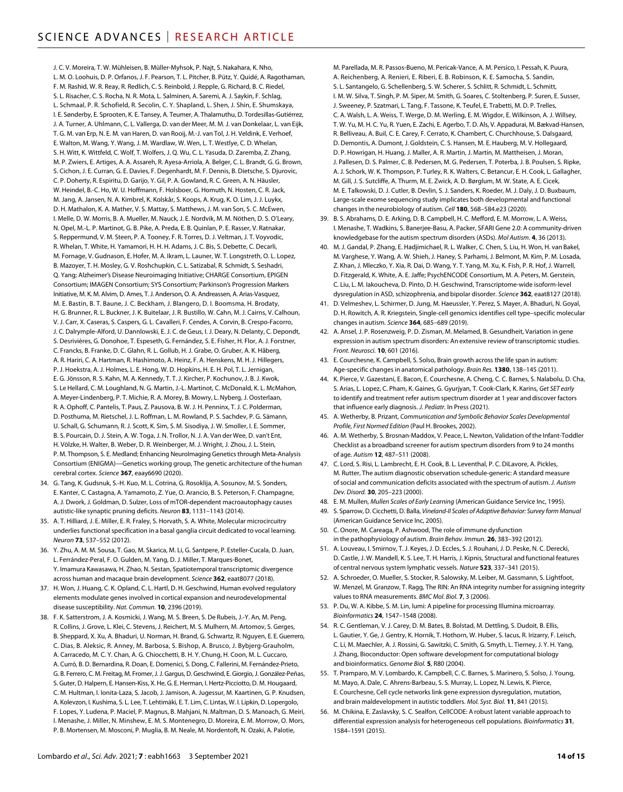J. C. V. Moreira, T. W. Mühleisen, B. Müller-Myhsok, P. Najt, S. Nakahara, K. Nho, L. M. O. Loohuis, D. P. Orfanos, J. F. Pearson, T. L. Pitcher, B. Pütz, Y. Quidé, A. Ragothaman, F. M. Rashid, W. R. Reay, R. Redlich, C. S. Reinbold, J. Repple, G. Richard, B. C. Riedel, S. L. Risacher, C. S. Rocha, N. R. Mota, L. Salminen, A. Saremi, A. J. Saykin, F. Schlag, L. Schmaal, P. R. Schofield, R. Secolin, C. Y. Shapland, L. Shen, J. Shin, E. Shumskaya, I. E. Sønderby, E. Sprooten, K. E. Tansey, A. Teumer, A. Thalamuthu, D. Tordesillas-Gutiérrez, J. A. Turner, A. Uhlmann, C. L. Vallerga, D. van der Meer, M. M. J. van Donkelaar, L. van Eijk, T. G. M. van Erp, N. E. M. van Haren, D. van Rooij, M.-J. van Tol, J. H. Veldink, E. Verhoef, E. Walton, M. Wang, Y. Wang, J. M. Wardlaw, W. Wen, L. T. Westlye, C. D. Whelan, S. H. Witt, K. Wittfeld, C. Wolf, T. Wolfers, J. Q. Wu, C. L. Yasuda, D. Zaremba, Z. Zhang, M. P. Zwiers, E. Artiges, A. A. Assareh, R. Ayesa-Arriola, A. Belger, C. L. Brandt, G. G. Brown, S. Cichon, J. E. Curran, G. E. Davies, F. Degenhardt, M. F. Dennis, B. Dietsche, S. Djurovic, C. P. Doherty, R. Espiritu, D. Garijo, Y. Gil, P. A. Gowland, R. C. Green, A. N. Häusler, W. Heindel, B.-C. Ho, W. U. Hoffmann, F. Holsboer, G. Homuth, N. Hosten, C. R. Jack, M. Jang, A. Jansen, N. A. Kimbrel, K. Kolskår, S. Koops, A. Krug, K. O. Lim, J. J. Luykx, D. H. Mathalon, K. A. Mather, V. S. Mattay, S. Matthews, J. M. van Son, S. C. McEwen, I. Melle, D. W. Morris, B. A. Mueller, M. Nauck, J. E. Nordvik, M. M. Nöthen, D. S. O'Leary, N. Opel, M.-L. P. Martinot, G. B. Pike, A. Preda, E. B. Quinlan, P. E. Rasser, V. Ratnakar, S. Reppermund, V. M. Steen, P. A. Tooney, F. R. Torres, D. J. Veltman, J. T. Voyvodic, R. Whelan, T. White, H. Yamamori, H. H. H. Adams, J. C. Bis, S. Debette, C. Decarli, M. Fornage, V. Gudnason, E. Hofer, M. A. Ikram, L. Launer, W. T. Longstreth, O. L. Lopez, B. Mazoyer, T. H. Mosley, G. V. Roshchupkin, C. L. Satizabal, R. Schmidt, S. Seshadri, Q. Yang; Alzheimer's Disease Neuroimaging Initiative; CHARGE Consortium, EPIGEN Consortium; IMAGEN Consortium; SYS Consortium; Parkinson's Progression Markers Initiative, M. K. M. Alvim, D. Ames, T.J. Anderson, O. A. Andreassen, A. Arias-Vasquez, M. E. Bastin, B. T. Baune, J. C. Beckham, J. Blangero, D. I. Boomsma, H. Brodaty, H. G. Brunner, R. L. Buckner, J. K. Buitelaar, J. R. Bustillo, W. Cahn, M. J. Cairns, V. Calhoun, V. J. Carr, X. Caseras, S. Caspers, G. L. Cavalleri, F. Cendes, A. Corvin, B. Crespo-Facorro, J. C. Dalrymple-Alford, U. Dannlowski, E. J. C. de Geus, I. J. Deary, N. Delanty, C. Depondt, S. Desrivières, G. Donohoe, T. Espeseth, G. Fernández, S. E. Fisher, H. Flor, A. J. Forstner, C. Francks, B. Franke, D. C. Glahn, R. L. Gollub, H. J. Grabe, O. Gruber, A. K. Håberg, A. R. Hariri, C. A. Hartman, R. Hashimoto, A. Heinz, F. A. Henskens, M. H. J. Hillegers, P. J. Hoekstra, A. J. Holmes, L. E. Hong, W. D. Hopkins, H. E. H. Pol, T. L. Jernigan, E. G. Jönsson, R. S. Kahn, M. A. Kennedy, T. T. J. Kircher, P. Kochunov, J. B. J. Kwok, S. Le Hellard, C. M. Loughland, N. G. Martin, J.-L. Martinot, C. McDonald, K. L. McMahon, A. Meyer-Lindenberg, P. T. Michie, R. A. Morey, B. Mowry, L. Nyberg, J. Oosterlaan, R. A. Ophoff, C. Pantelis, T. Paus, Z. Pausova, B. W. J. H. Penninx, T. J. C. Polderman, D. Posthuma, M. Rietschel, J. L. Roffman, L. M. Rowland, P. S. Sachdev, P. G. Sämann, U. Schall, G. Schumann, R. J. Scott, K. Sim, S. M. Sisodiya, J. W. Smoller, I. E. Sommer, B. S. Pourcain, D. J. Stein, A. W. Toga, J. N. Trollor, N. J. A. Van der Wee, D. van't Ent, H. Völzke, H. Walter, B. Weber, D. R. Weinberger, M. J. Wright, J. Zhou, J. L. Stein, P. M. Thompson, S. E. Medland; Enhancing NeuroImaging Genetics through Meta-Analysis Consortium (ENIGMA)—Genetics working group, The genetic architecture of the human cerebral cortex. *Science* **367**, eaay6690 (2020).

- 34. G. Tang, K. Gudsnuk, S.-H. Kuo, M. L. Cotrina, G. Rosoklija, A. Sosunov, M. S. Sonders, E. Kanter, C. Castagna, A. Yamamoto, Z. Yue, O. Arancio, B. S. Peterson, F. Champagne, A. J. Dwork, J. Goldman, D. Sulzer, Loss of mTOR-dependent macroautophagy causes autistic-like synaptic pruning deficits. *Neuron* **83**, 1131–1143 (2014).
- 35. A. T. Hilliard, J. E. Miller, E. R. Fraley, S. Horvath, S. A. White, Molecular microcircuitry underlies functional specification in a basal ganglia circuit dedicated to vocal learning. *Neuron* **73**, 537–552 (2012).
- 36. Y. Zhu, A. M. M. Sousa, T. Gao, M. Skarica, M. Li, G. Santpere, P. Esteller-Cucala, D. Juan, L. Ferrández-Peral, F. O. Gulden, M. Yang, D. J. Miller, T. Marques-Bonet, Y. Imamura Kawasawa, H. Zhao, N. Sestan, Spatiotemporal transcriptomic divergence across human and macaque brain development. *Science* **362**, eaat8077 (2018).
- 37. H. Won, J. Huang, C. K. Opland, C. L. Hartl, D. H. Geschwind, Human evolved regulatory elements modulate genes involved in cortical expansion and neurodevelopmental disease susceptibility. *Nat. Commun.* **10**, 2396 (2019).
- 38. F. K. Satterstrom, J. A. Kosmicki, J. Wang, M. S. Breen, S. De Rubeis, J.-Y. An, M. Peng, R. Collins, J. Grove, L. Klei, C. Stevens, J. Reichert, M. S. Mulhern, M. Artomov, S. Gerges, B. Sheppard, X. Xu, A. Bhaduri, U. Norman, H. Brand, G. Schwartz, R. Nguyen, E. E.Guerrero, C. Dias, B. Aleksic, R. Anney, M. Barbosa, S. Bishop, A. Brusco, J. Bybjerg-Grauholm, A. Carracedo, M. C. Y. Chan, A. G. Chiocchetti, B. H. Y. Chung, H. Coon, M. L. Cuccaro, A. Curró, B. D. Bernardina, R. Doan, E. Domenici, S. Dong, C. Fallerini, M. Fernández-Prieto, G. B. Ferrero, C. M. Freitag, M. Fromer, J.J. Gargus, D. Geschwind, E. Giorgio, J. González-Peñas, S. Guter, D. Halpern, E. Hansen-Kiss, X. He, G. E. Herman, I. Hertz-Picciotto, D. M. Hougaard, C. M. Hultman, I. Ionita-Laza, S. Jacob, J. Jamison, A. Jugessur, M. Kaartinen, G. P. Knudsen, A. Kolevzon, I. Kushima, S. L. Lee, T. Lehtimäki, E. T. Lim, C. Lintas, W. I. Lipkin, D. Lopergolo, F. Lopes, Y. Ludena, P. Maciel, P. Magnus, B. Mahjani, N. Maltman, D. S. Manoach, G. Meiri, I. Menashe, J. Miller, N. Minshew, E. M. S. Montenegro, D. Moreira, E. M. Morrow, O. Mors, P. B. Mortensen, M. Mosconi, P. Muglia, B. M. Neale, M. Nordentoft, N. Ozaki, A. Palotie,

M. Parellada, M. R. Passos-Bueno, M. Pericak-Vance, A. M. Persico, I. Pessah, K. Puura, A. Reichenberg, A. Renieri, E. Riberi, E. B. Robinson, K. E. Samocha, S. Sandin, S. L. Santangelo, G. Schellenberg, S. W. Scherer, S. Schlitt, R. Schmidt, L. Schmitt, I. M. W. Silva, T. Singh, P. M. Siper, M. Smith, G. Soares, C. Stoltenberg, P. Suren, E. Susser, J. Sweeney, P. Szatmari, L. Tang, F. Tassone, K. Teufel, E. Trabetti, M. D. P. Trelles, C. A. Walsh, L. A. Weiss, T. Werge, D. M. Werling, E. M. Wigdor, E. Wilkinson, A. J. Willsey, T. W. Yu, M. H. C. Yu, R. Yuen, E. Zachi, E. Agerbo, T. D. Als, V. Appadurai, M. Bækvad-Hansen, R. Belliveau, A. Buil, C. E. Carey, F. Cerrato, K. Chambert, C. Churchhouse, S. Dalsgaard, D. Demontis, A. Dumont, J. Goldstein, C. S. Hansen, M. E. Hauberg, M. V. Hollegaard, D. P. Howrigan, H. Huang, J. Maller, A. R. Martin, J. Martin, M. Mattheisen, J. Moran, J. Pallesen, D. S. Palmer, C. B. Pedersen, M. G. Pedersen, T. Poterba, J. B. Poulsen, S. Ripke, A. J. Schork, W. K. Thompson, P. Turley, R. K. Walters, C. Betancur, E. H. Cook, L. Gallagher, M. Gill, J. S. Sutcliffe, A. Thurm, M. E. Zwick, A. D. Børglum, M. W. State, A. E. Cicek, M. E. Talkowski, D. J. Cutler, B. Devlin, S. J. Sanders, K. Roeder, M. J. Daly, J. D. Buxbaum, Large-scale exome sequencing study implicates both developmental and functional changes in the neurobiology of autism. *Cell* **180**, 568–584.e23 (2020).

- 39. B. S. Abrahams, D. E. Arking, D. B. Campbell, H. C. Mefford, E. M. Morrow, L. A. Weiss, I. Menashe, T. Wadkins, S. Banerjee-Basu, A. Packer, SFARI Gene 2.0: A community-driven knowledgebase for the autism spectrum disorders (ASDs). *Mol Autism.* **4**, 36 (2013).
- 40. M. J. Gandal, P. Zhang, E. Hadjimichael, R. L. Walker, C. Chen, S. Liu, H. Won, H. van Bakel, M. Varghese, Y. Wang, A. W. Shieh, J. Haney, S. Parhami, J. Belmont, M. Kim, P. M. Losada, Z. Khan, J. Mleczko, Y. Xia, R. Dai, D. Wang, Y. T. Yang, M. Xu, K. Fish, P. R. Hof, J. Warrell, D. Fitzgerald, K. White, A. E. Jaffe; PsychENCODE Consortium, M. A. Peters, M. Gerstein, C. Liu, L. M. Iakoucheva, D. Pinto, D. H. Geschwind, Transcriptome-wide isoform-level dysregulation in ASD, schizophrenia, and bipolar disorder. *Science* **362**, eaat8127 (2018).
- 41. D. Velmeshev, L. Schirmer, D. Jung, M. Haeussler, Y. Perez, S. Mayer, A. Bhaduri, N. Goyal, D. H. Rowitch, A. R. Kriegstein, Single-cell genomics identifies cell type–specific molecular changes in autism. *Science* **364**, 685–689 (2019).
- 42. A. Ansel, J. P. Rosenzweig, P. D. Zisman, M. Melamed, B. Gesundheit, Variation in gene expression in autism spectrum disorders: An extensive review of transcriptomic studies. *Front. Neurosci.* **10**, 601 (2016).
- 43. E. Courchesne, K. Campbell, S. Solso, Brain growth across the life span in autism: Age-specific changes in anatomical pathology. *Brain Res.* **1380**, 138–145 (2011).
- 44. K. Pierce, V. Gazestani, E. Bacon, E. Courchesne, A. Cheng, C. C. Barnes, S. Nalabolu, D. Cha, S. Arias, L. Lopez, C. Pham, K. Gaines, G. Gyurjyan, T. Cook-Clark, K. Karins, *Get SET early* to identify and treatment refer autism spectrum disorder at 1 year and discover factors that influence early diagnosis. *J. Pediatr.* In Press (2021).
- 45. A. Wetherby, B. Prizant, *Communication and Symbolic Behavior Scales Developmental Profile, First Normed Edition* (Paul H. Brookes, 2002).
- 46. A. M. Wetherby, S. Brosnan-Maddox, V. Peace, L. Newton, Validation of the Infant-Toddler Checklist as a broadband screener for autism spectrum disorders from 9 to 24 months of age. *Autism* **12**, 487–511 (2008).
- 47. C. Lord, S. Risi, L. Lambrecht, E. H. Cook, B. L. Leventhal, P. C. DiLavore, A. Pickles, M. Rutter, The autism diagnostic observation schedule-generic: A standard measure ofsocial and communication deficits associated with the spectrum of autism. *J. Autism Dev. Disord.* **30**, 205–223 (2000).
- 48. E. M. Mullen, *Mullen Scales of Early Learning* (American Guidance Service Inc, 1995).
- 49. S. Sparrow, D. Cicchetti, D. Balla, *Vineland-II Scales of Adaptive Behavior: Survey form Manual* (American Guidance Service Inc, 2005).
- 50. C. Onore, M. Careaga, P. Ashwood, The role of immune dysfunction in the pathophysiology of autism. *Brain Behav. Immun.* **26**, 383–392 (2012).
- 51. A. Louveau, I. Smirnov, T. J. Keyes, J. D. Eccles, S. J. Rouhani, J. D. Peske, N. C. Derecki, D. Castle, J. W. Mandell, K. S. Lee, T. H. Harris, J. Kipnis, Structural and functional features of central nervous system lymphatic vessels. *Nature* **523**, 337–341 (2015).
- 52. A. Schroeder, O. Mueller, S. Stocker, R. Salowsky, M. Leiber, M. Gassmann, S. Lightfoot, W. Menzel, M. Granzow, T. Ragg, The RIN: An RNA integrity number for assigning integrity values to RNA measurements. *BMC Mol. Biol.* **7**, 3 (2006).
- 53. P. Du, W. A. Kibbe, S. M. Lin, lumi: A pipeline for processing Illumina microarray. *Bioinformatics* **24**, 1547–1548 (2008).
- 54. R. C. Gentleman, V. J. Carey, D. M. Bates, B. Bolstad, M. Dettling, S. Dudoit, B. Ellis, L. Gautier, Y. Ge, J. Gentry, K. Hornik, T. Hothorn, W. Huber, S. Iacus, R. Irizarry, F. Leisch, C. Li, M. Maechler, A. J. Rossini, G. Sawitzki, C. Smith, G. Smyth, L. Tierney, J. Y. H. Yang, J. Zhang, Bioconductor: Open software development for computational biology and bioinformatics. *Genome Biol.* **5**, R80 (2004).
- 55. T. Pramparo, M. V. Lombardo, K. Campbell, C. C. Barnes, S. Marinero, S. Solso, J. Young, M. Mayo, A. Dale, C. Ahrens-Barbeau, S. S. Murray, L. Lopez, N. Lewis, K. Pierce, E. Courchesne, Cell cycle networks link gene expression dysregulation, mutation, and brain maldevelopment in autistic toddlers. *Mol. Syst. Biol.* **11**, 841 (2015).
- 56. M. Chikina, E. Zaslavsky, S. C. Sealfon, CellCODE: A robust latent variable approach to differential expression analysis for heterogeneous cell populations. *Bioinformatics* **31**, 1584–1591 (2015).